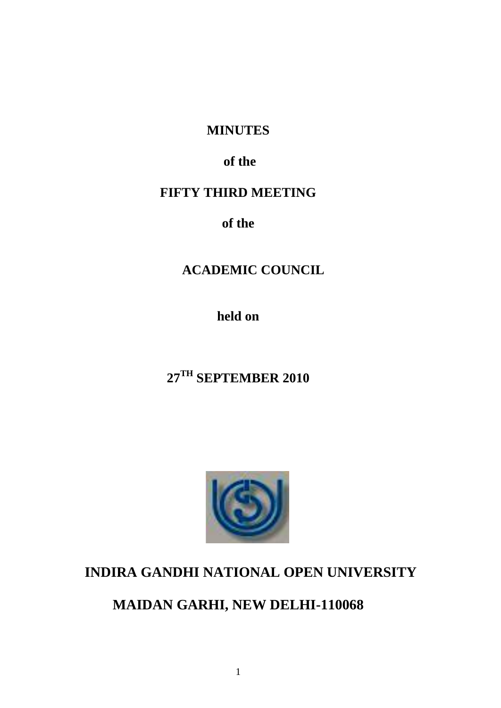# **MINUTES**

# **of the**

# **FIFTY THIRD MEETING**

**of the**

# **ACADEMIC COUNCIL**

**held on**

# **27TH SEPTEMBER 2010**



# **INDIRA GANDHI NATIONAL OPEN UNIVERSITY**

# **MAIDAN GARHI, NEW DELHI-110068**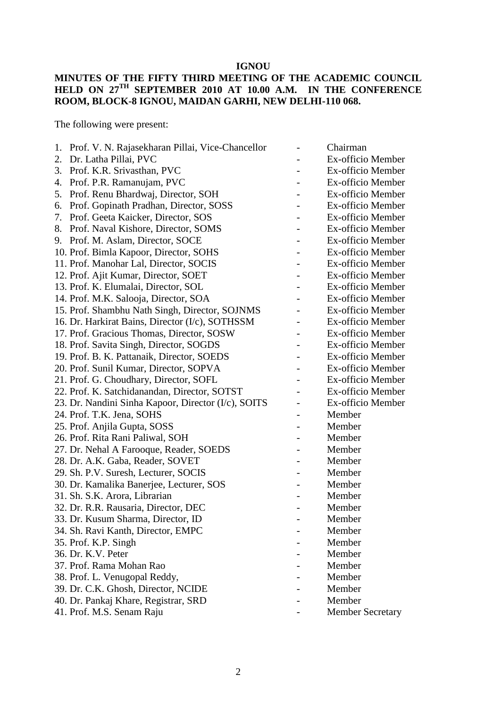# **IGNOU**

#### **MINUTES OF THE FIFTY THIRD MEETING OF THE ACADEMIC COUNCIL HELD ON 27TH SEPTEMBER 2010 AT 10.00 A.M. IN THE CONFERENCE ROOM, BLOCK-8 IGNOU, MAIDAN GARHI, NEW DELHI-110 068.**

The following were present:

| 1. | Prof. V. N. Rajasekharan Pillai, Vice-Chancellor    | Chairman                |
|----|-----------------------------------------------------|-------------------------|
| 2. | Dr. Latha Pillai, PVC                               | Ex-officio Member       |
| 3. | Prof. K.R. Srivasthan, PVC                          | Ex-officio Member       |
| 4. | Prof. P.R. Ramanujam, PVC                           | Ex-officio Member       |
| 5. | Prof. Renu Bhardwaj, Director, SOH                  | Ex-officio Member       |
| 6. | Prof. Gopinath Pradhan, Director, SOSS              | Ex-officio Member       |
| 7. | Prof. Geeta Kaicker, Director, SOS                  | Ex-officio Member       |
| 8. | Prof. Naval Kishore, Director, SOMS                 | Ex-officio Member       |
|    | 9. Prof. M. Aslam, Director, SOCE                   | Ex-officio Member       |
|    | 10. Prof. Bimla Kapoor, Director, SOHS              | Ex-officio Member       |
|    | 11. Prof. Manohar Lal, Director, SOCIS              | Ex-officio Member       |
|    | 12. Prof. Ajit Kumar, Director, SOET                | Ex-officio Member       |
|    | 13. Prof. K. Elumalai, Director, SOL                | Ex-officio Member       |
|    | 14. Prof. M.K. Salooja, Director, SOA               | Ex-officio Member       |
|    | 15. Prof. Shambhu Nath Singh, Director, SOJNMS      | Ex-officio Member       |
|    | 16. Dr. Harkirat Bains, Director (I/c), SOTHSSM     | Ex-officio Member       |
|    | 17. Prof. Gracious Thomas, Director, SOSW           | Ex-officio Member       |
|    | 18. Prof. Savita Singh, Director, SOGDS             | Ex-officio Member       |
|    | 19. Prof. B. K. Pattanaik, Director, SOEDS          | Ex-officio Member       |
|    | 20. Prof. Sunil Kumar, Director, SOPVA              | Ex-officio Member       |
|    | 21. Prof. G. Choudhary, Director, SOFL              | Ex-officio Member       |
|    | 22. Prof. K. Satchidanandan, Director, SOTST        | Ex-officio Member       |
|    | 23. Dr. Nandini Sinha Kapoor, Director (I/c), SOITS | Ex-officio Member       |
|    | 24. Prof. T.K. Jena, SOHS                           | Member                  |
|    | 25. Prof. Anjila Gupta, SOSS                        | Member                  |
|    | 26. Prof. Rita Rani Paliwal, SOH                    | Member                  |
|    | 27. Dr. Nehal A Farooque, Reader, SOEDS             | Member                  |
|    | 28. Dr. A.K. Gaba, Reader, SOVET                    | Member                  |
|    | 29. Sh. P.V. Suresh, Lecturer, SOCIS                | Member                  |
|    | 30. Dr. Kamalika Banerjee, Lecturer, SOS            | Member                  |
|    | 31. Sh. S.K. Arora, Librarian                       | Member                  |
|    | 32. Dr. R.R. Rausaria, Director, DEC                | Member                  |
|    | 33. Dr. Kusum Sharma, Director, ID                  | Member                  |
|    | 34. Sh. Ravi Kanth, Director, EMPC                  | Member                  |
|    | 35. Prof. K.P. Singh                                | Member                  |
|    | 36. Dr. K.V. Peter                                  | Member                  |
|    | 37. Prof. Rama Mohan Rao                            | Member                  |
|    | 38. Prof. L. Venugopal Reddy,                       | Member                  |
|    | 39. Dr. C.K. Ghosh, Director, NCIDE                 | Member                  |
|    | 40. Dr. Pankaj Khare, Registrar, SRD                | Member                  |
|    | 41. Prof. M.S. Senam Raju                           | <b>Member Secretary</b> |
|    |                                                     |                         |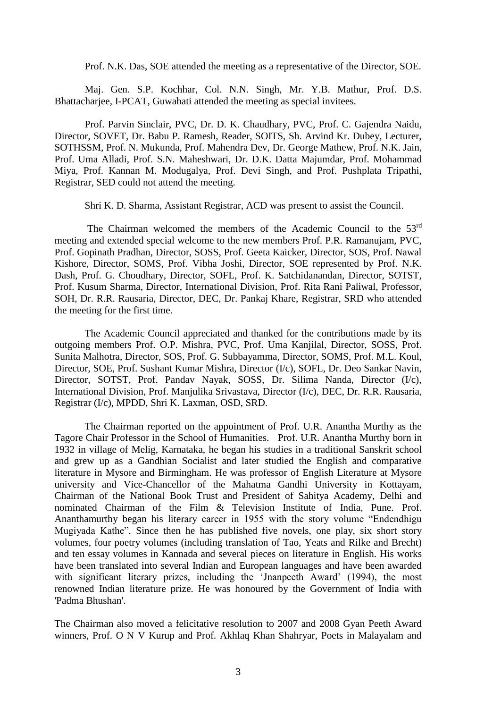Prof. N.K. Das, SOE attended the meeting as a representative of the Director, SOE.

Maj. Gen. S.P. Kochhar, Col. N.N. Singh, Mr. Y.B. Mathur, Prof. D.S. Bhattacharjee, I-PCAT, Guwahati attended the meeting as special invitees.

Prof. Parvin Sinclair, PVC, Dr. D. K. Chaudhary, PVC, Prof. C. Gajendra Naidu, Director, SOVET, Dr. Babu P. Ramesh, Reader, SOITS, Sh. Arvind Kr. Dubey, Lecturer, SOTHSSM, Prof. N. Mukunda, Prof. Mahendra Dev, Dr. George Mathew, Prof. N.K. Jain, Prof. Uma Alladi, Prof. S.N. Maheshwari, Dr. D.K. Datta Majumdar, Prof. Mohammad Miya, Prof. Kannan M. Modugalya, Prof. Devi Singh, and Prof. Pushplata Tripathi, Registrar, SED could not attend the meeting.

Shri K. D. Sharma, Assistant Registrar, ACD was present to assist the Council.

The Chairman welcomed the members of the Academic Council to the  $53<sup>rd</sup>$ meeting and extended special welcome to the new members Prof. P.R. Ramanujam, PVC, Prof. Gopinath Pradhan, Director, SOSS, Prof. Geeta Kaicker, Director, SOS, Prof. Nawal Kishore, Director, SOMS, Prof. Vibha Joshi, Director, SOE represented by Prof. N.K. Dash, Prof. G. Choudhary, Director, SOFL, Prof. K. Satchidanandan, Director, SOTST, Prof. Kusum Sharma, Director, International Division, Prof. Rita Rani Paliwal, Professor, SOH, Dr. R.R. Rausaria, Director, DEC, Dr. Pankaj Khare, Registrar, SRD who attended the meeting for the first time.

The Academic Council appreciated and thanked for the contributions made by its outgoing members Prof. O.P. Mishra, PVC, Prof. Uma Kanjilal, Director, SOSS, Prof. Sunita Malhotra, Director, SOS, Prof. G. Subbayamma, Director, SOMS, Prof. M.L. Koul, Director, SOE, Prof. Sushant Kumar Mishra, Director (I/c), SOFL, Dr. Deo Sankar Navin, Director, SOTST, Prof. Pandav Nayak, SOSS, Dr. Silima Nanda, Director (I/c), International Division, Prof. Manjulika Srivastava, Director (I/c), DEC, Dr. R.R. Rausaria, Registrar (I/c), MPDD, Shri K. Laxman, OSD, SRD.

The Chairman reported on the appointment of Prof. U.R. Anantha Murthy as the Tagore Chair Professor in the School of Humanities. Prof. U.R. Anantha Murthy born in 1932 in village of Melig, Karnataka, he began his studies in a traditional Sanskrit school and grew up as a Gandhian Socialist and later studied the English and comparative literature in Mysore and Birmingham. He was professor of English Literature at Mysore university and Vice-Chancellor of the Mahatma Gandhi University in Kottayam, Chairman of the National Book Trust and President of Sahitya Academy, Delhi and nominated Chairman of the Film & Television Institute of India, Pune. Prof. Ananthamurthy began his literary career in 1955 with the story volume "Endendhigu Mugiyada Kathe". Since then he has published five novels, one play, six short story volumes, four poetry volumes (including translation of Tao, Yeats and Rilke and Brecht) and ten essay volumes in Kannada and several pieces on literature in English. His works have been translated into several Indian and European languages and have been awarded with significant literary prizes, including the 'Jnanpeeth Award' (1994), the most renowned Indian literature prize. He was honoured by the Government of India with 'Padma Bhushan'.

The Chairman also moved a felicitative resolution to 2007 and 2008 Gyan Peeth Award winners, Prof. O N V Kurup and Prof. Akhlaq Khan Shahryar, Poets in Malayalam and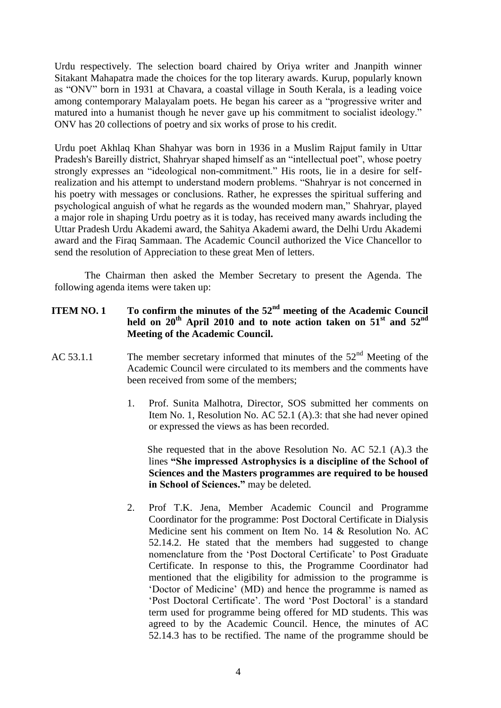Urdu respectively. The selection board chaired by Oriya writer and Jnanpith winner Sitakant Mahapatra made the choices for the top literary awards. Kurup, popularly known as "ONV" born in 1931 at Chavara, a coastal village in South Kerala, is a leading voice among contemporary Malayalam poets. He began his career as a "progressive writer and matured into a humanist though he never gave up his commitment to socialist ideology." ONV has 20 collections of poetry and six works of prose to his credit.

Urdu poet Akhlaq Khan Shahyar was born in 1936 in a Muslim Rajput family in Uttar Pradesh's Bareilly district, Shahryar shaped himself as an "intellectual poet", whose poetry strongly expresses an "ideological non-commitment." His roots, lie in a desire for selfrealization and his attempt to understand modern problems. "Shahryar is not concerned in his poetry with messages or conclusions. Rather, he expresses the spiritual suffering and psychological anguish of what he regards as the wounded modern man," Shahryar, played a major role in shaping Urdu poetry as it is today, has received many awards including the Uttar Pradesh Urdu Akademi award, the Sahitya Akademi award, the Delhi Urdu Akademi award and the Firaq Sammaan. The Academic Council authorized the Vice Chancellor to send the resolution of Appreciation to these great Men of letters.

The Chairman then asked the Member Secretary to present the Agenda. The following agenda items were taken up:

# **ITEM NO. 1 To confirm the minutes of the 52nd meeting of the Academic Council held on 20th April 2010 and to note action taken on 51st and 52nd Meeting of the Academic Council.**

- AC 53.1.1 The member secretary informed that minutes of the  $52<sup>nd</sup>$  Meeting of the Academic Council were circulated to its members and the comments have been received from some of the members;
	- 1. Prof. Sunita Malhotra, Director, SOS submitted her comments on Item No. 1, Resolution No. AC 52.1 (A).3: that she had never opined or expressed the views as has been recorded.

 She requested that in the above Resolution No. AC 52.1 (A).3 the lines **"She impressed Astrophysics is a discipline of the School of Sciences and the Masters programmes are required to be housed in School of Sciences."** may be deleted.

2. Prof T.K. Jena, Member Academic Council and Programme Coordinator for the programme: Post Doctoral Certificate in Dialysis Medicine sent his comment on Item No. 14 & Resolution No. AC 52.14.2. He stated that the members had suggested to change nomenclature from the 'Post Doctoral Certificate' to Post Graduate Certificate. In response to this, the Programme Coordinator had mentioned that the eligibility for admission to the programme is 'Doctor of Medicine' (MD) and hence the programme is named as 'Post Doctoral Certificate'. The word 'Post Doctoral' is a standard term used for programme being offered for MD students. This was agreed to by the Academic Council. Hence, the minutes of AC 52.14.3 has to be rectified. The name of the programme should be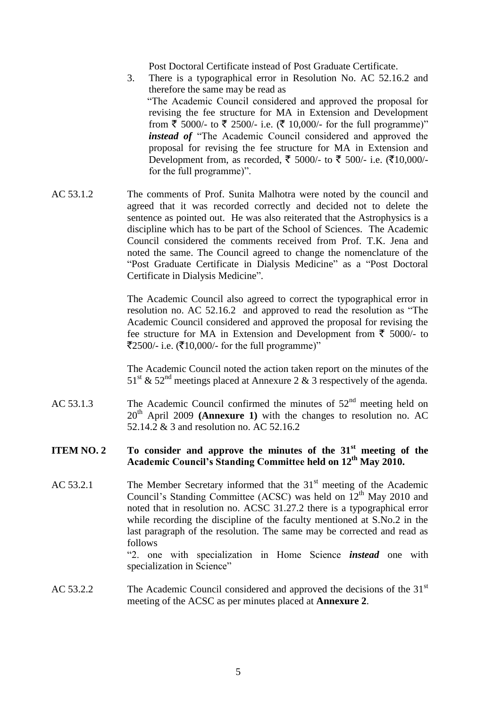Post Doctoral Certificate instead of Post Graduate Certificate.

- 3. There is a typographical error in Resolution No. AC 52.16.2 and therefore the same may be read as "The Academic Council considered and approved the proposal for revising the fee structure for MA in Extension and Development from  $\bar{\xi}$  5000/- to  $\bar{\xi}$  2500/- i.e. ( $\bar{\xi}$  10,000/- for the full programme)" *instead of* "The Academic Council considered and approved the proposal for revising the fee structure for MA in Extension and Development from, as recorded, ₹ 5000/- to ₹ 500/- i.e. (₹10,000/for the full programme)".
- AC 53.1.2 The comments of Prof. Sunita Malhotra were noted by the council and agreed that it was recorded correctly and decided not to delete the sentence as pointed out. He was also reiterated that the Astrophysics is a discipline which has to be part of the School of Sciences. The Academic Council considered the comments received from Prof. T.K. Jena and noted the same. The Council agreed to change the nomenclature of the "Post Graduate Certificate in Dialysis Medicine" as a "Post Doctoral Certificate in Dialysis Medicine".

The Academic Council also agreed to correct the typographical error in resolution no. AC 52.16.2 and approved to read the resolution as "The Academic Council considered and approved the proposal for revising the fee structure for MA in Extension and Development from  $\bar{\tau}$  5000/- to  $\text{\textsterling}2500/-$  i.e. ( $\text{\textsterling}10,000/-$  for the full programme)"

The Academic Council noted the action taken report on the minutes of the  $51<sup>st</sup>$  &  $52<sup>nd</sup>$  meetings placed at Annexure 2 & 3 respectively of the agenda.

AC 53.1.3 The Academic Council confirmed the minutes of  $52<sup>nd</sup>$  meeting held on  $20<sup>th</sup>$  April 2009 **(Annexure 1)** with the changes to resolution no. AC 52.14.2 & 3 and resolution no. AC 52.16.2

# **ITEM NO. 2 To consider and approve the minutes of the 31st meeting of the Academic Council's Standing Committee held on 12th May 2010.**

AC 53.2.1 The Member Secretary informed that the  $31<sup>st</sup>$  meeting of the Academic Council's Standing Committee (ACSC) was held on  $12<sup>th</sup>$  May 2010 and noted that in resolution no. ACSC 31.27.2 there is a typographical error while recording the discipline of the faculty mentioned at S.No.2 in the last paragraph of the resolution. The same may be corrected and read as follows

"2. one with specialization in Home Science *instead* one with specialization in Science"

AC 53.2.2 The Academic Council considered and approved the decisions of the 31<sup>st</sup> meeting of the ACSC as per minutes placed at **Annexure 2**.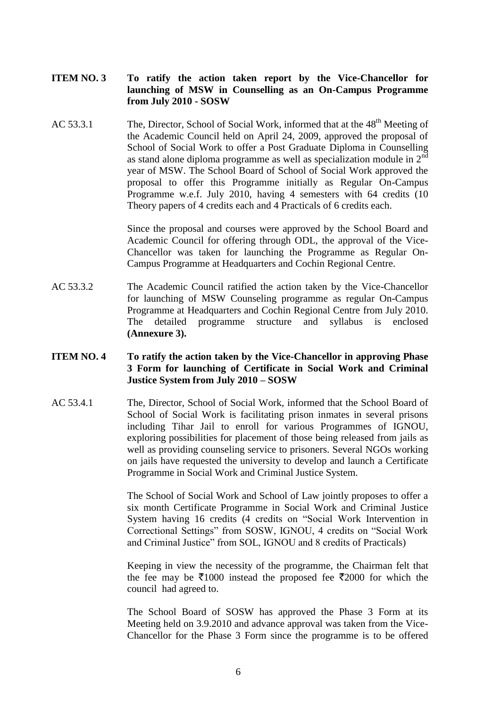- **ITEM NO. 3 To ratify the action taken report by the Vice-Chancellor for launching of MSW in Counselling as an On-Campus Programme from July 2010 - SOSW**
- AC 53.3.1 The, Director, School of Social Work, informed that at the  $48<sup>th</sup>$  Meeting of the Academic Council held on April 24, 2009, approved the proposal of School of Social Work to offer a Post Graduate Diploma in Counselling as stand alone diploma programme as well as specialization module in  $2<sup>nd</sup>$ year of MSW. The School Board of School of Social Work approved the proposal to offer this Programme initially as Regular On-Campus Programme w.e.f. July 2010, having 4 semesters with 64 credits (10 Theory papers of 4 credits each and 4 Practicals of 6 credits each.

Since the proposal and courses were approved by the School Board and Academic Council for offering through ODL, the approval of the Vice-Chancellor was taken for launching the Programme as Regular On-Campus Programme at Headquarters and Cochin Regional Centre.

AC 53.3.2 The Academic Council ratified the action taken by the Vice-Chancellor for launching of MSW Counseling programme as regular On-Campus Programme at Headquarters and Cochin Regional Centre from July 2010. The detailed programme structure and syllabus is enclosed **(Annexure 3).**

#### **ITEM NO. 4 To ratify the action taken by the Vice-Chancellor in approving Phase 3 Form for launching of Certificate in Social Work and Criminal Justice System from July 2010 – SOSW**

AC 53.4.1 The, Director, School of Social Work, informed that the School Board of School of Social Work is facilitating prison inmates in several prisons including Tihar Jail to enroll for various Programmes of IGNOU, exploring possibilities for placement of those being released from jails as well as providing counseling service to prisoners. Several NGOs working on jails have requested the university to develop and launch a Certificate Programme in Social Work and Criminal Justice System.

> The School of Social Work and School of Law jointly proposes to offer a six month Certificate Programme in Social Work and Criminal Justice System having 16 credits (4 credits on "Social Work Intervention in Correctional Settings" from SOSW, IGNOU, 4 credits on "Social Work and Criminal Justice" from SOL, IGNOU and 8 credits of Practicals)

> Keeping in view the necessity of the programme, the Chairman felt that the fee may be  $\bar{\mathfrak{Z}}1000$  instead the proposed fee  $\bar{\mathfrak{Z}}2000$  for which the council had agreed to.

> The School Board of SOSW has approved the Phase 3 Form at its Meeting held on 3.9.2010 and advance approval was taken from the Vice-Chancellor for the Phase 3 Form since the programme is to be offered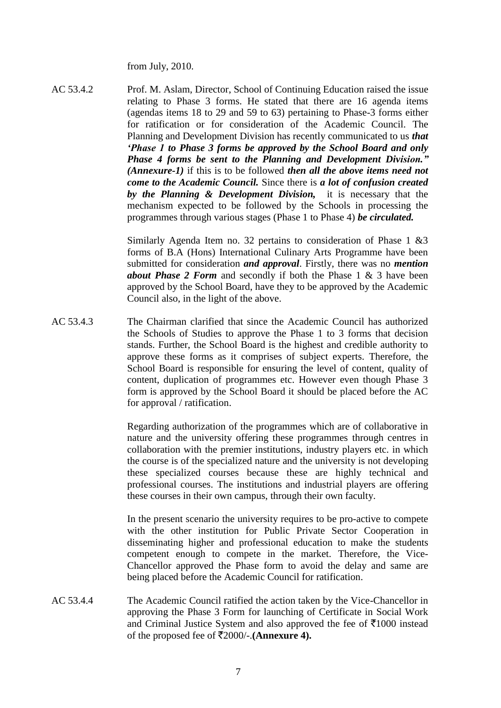from July, 2010.

AC 53.4.2 Prof. M. Aslam, Director, School of Continuing Education raised the issue relating to Phase 3 forms. He stated that there are 16 agenda items (agendas items 18 to 29 and 59 to 63) pertaining to Phase-3 forms either for ratification or for consideration of the Academic Council. The Planning and Development Division has recently communicated to us *that 'Phase 1 to Phase 3 forms be approved by the School Board and only Phase 4 forms be sent to the Planning and Development Division." (Annexure-1)* if this is to be followed *then all the above items need not come to the Academic Council.* Since there is *a lot of confusion created by the Planning & Development Division,* it is necessary that the mechanism expected to be followed by the Schools in processing the programmes through various stages (Phase 1 to Phase 4) *be circulated.*

> Similarly Agenda Item no. 32 pertains to consideration of Phase 1 &3 forms of B.A (Hons) International Culinary Arts Programme have been submitted for consideration *and approval*. Firstly, there was no *mention about Phase 2 Form* and secondly if both the Phase 1 & 3 have been approved by the School Board, have they to be approved by the Academic Council also, in the light of the above.

AC 53.4.3 The Chairman clarified that since the Academic Council has authorized the Schools of Studies to approve the Phase 1 to 3 forms that decision stands. Further, the School Board is the highest and credible authority to approve these forms as it comprises of subject experts. Therefore, the School Board is responsible for ensuring the level of content, quality of content, duplication of programmes etc. However even though Phase 3 form is approved by the School Board it should be placed before the AC for approval / ratification.

> Regarding authorization of the programmes which are of collaborative in nature and the university offering these programmes through centres in collaboration with the premier institutions, industry players etc. in which the course is of the specialized nature and the university is not developing these specialized courses because these are highly technical and professional courses. The institutions and industrial players are offering these courses in their own campus, through their own faculty.

> In the present scenario the university requires to be pro-active to compete with the other institution for Public Private Sector Cooperation in disseminating higher and professional education to make the students competent enough to compete in the market. Therefore, the Vice-Chancellor approved the Phase form to avoid the delay and same are being placed before the Academic Council for ratification.

AC 53.4.4 The Academic Council ratified the action taken by the Vice-Chancellor in approving the Phase 3 Form for launching of Certificate in Social Work and Criminal Justice System and also approved the fee of  $\overline{5}1000$  instead of the proposed fee of  $\overline{\mathfrak{Z}}2000/-$ . (Annexure 4).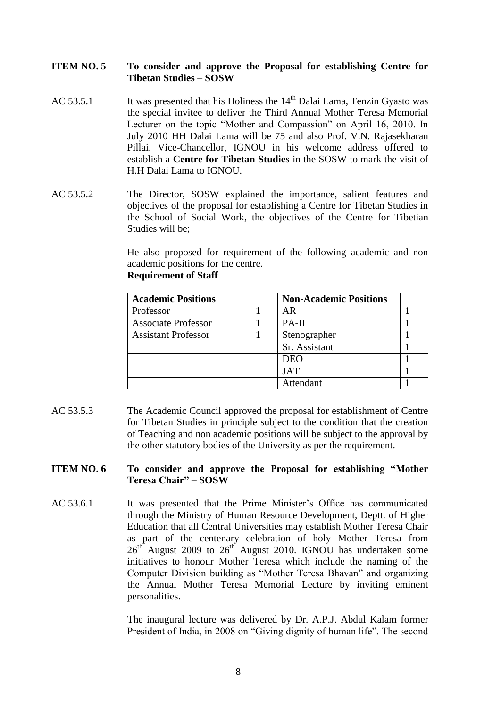#### **ITEM NO. 5 To consider and approve the Proposal for establishing Centre for Tibetan Studies – SOSW**

- AC 53.5.1 It was presented that his Holiness the  $14<sup>th</sup>$  Dalai Lama, Tenzin Gyasto was the special invitee to deliver the Third Annual Mother Teresa Memorial Lecturer on the topic "Mother and Compassion" on April 16, 2010. In July 2010 HH Dalai Lama will be 75 and also Prof. V.N. Rajasekharan Pillai, Vice-Chancellor, IGNOU in his welcome address offered to establish a **Centre for Tibetan Studies** in the SOSW to mark the visit of H.H Dalai Lama to IGNOU.
- AC 53.5.2 The Director, SOSW explained the importance, salient features and objectives of the proposal for establishing a Centre for Tibetan Studies in the School of Social Work, the objectives of the Centre for Tibetian Studies will be;

He also proposed for requirement of the following academic and non academic positions for the centre. **Requirement of Staff**

| <b>Academic Positions</b>  | <b>Non-Academic Positions</b> |  |
|----------------------------|-------------------------------|--|
| Professor                  | AR                            |  |
| <b>Associate Professor</b> | PA-II                         |  |
| <b>Assistant Professor</b> | Stenographer                  |  |
|                            | Sr. Assistant                 |  |
|                            | <b>DEO</b>                    |  |
|                            | <b>JAT</b>                    |  |
|                            | Attendant                     |  |

AC 53.5.3 The Academic Council approved the proposal for establishment of Centre for Tibetan Studies in principle subject to the condition that the creation of Teaching and non academic positions will be subject to the approval by the other statutory bodies of the University as per the requirement.

#### **ITEM NO. 6 To consider and approve the Proposal for establishing "Mother Teresa Chair" – SOSW**

AC 53.6.1 It was presented that the Prime Minister's Office has communicated through the Ministry of Human Resource Development, Deptt. of Higher Education that all Central Universities may establish Mother Teresa Chair as part of the centenary celebration of holy Mother Teresa from  $26<sup>th</sup>$  August 2009 to  $26<sup>th</sup>$  August 2010. IGNOU has undertaken some initiatives to honour Mother Teresa which include the naming of the Computer Division building as "Mother Teresa Bhavan" and organizing the Annual Mother Teresa Memorial Lecture by inviting eminent personalities.

> The inaugural lecture was delivered by Dr. A.P.J. Abdul Kalam former President of India, in 2008 on "Giving dignity of human life". The second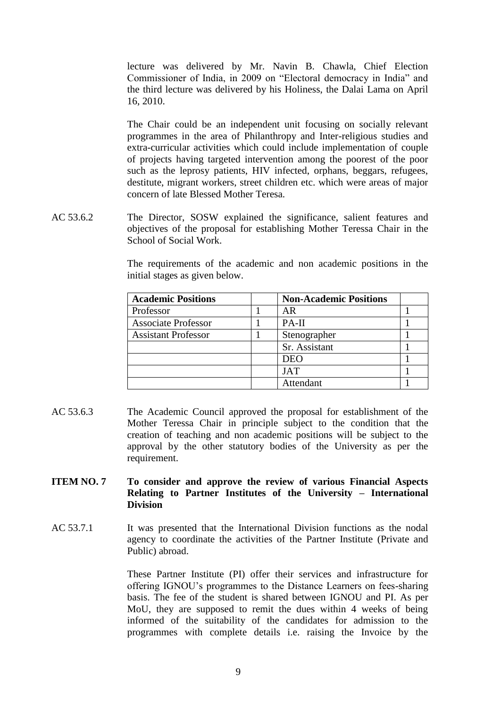lecture was delivered by Mr. Navin B. Chawla, Chief Election Commissioner of India, in 2009 on "Electoral democracy in India" and the third lecture was delivered by his Holiness, the Dalai Lama on April 16, 2010.

The Chair could be an independent unit focusing on socially relevant programmes in the area of Philanthropy and Inter-religious studies and extra-curricular activities which could include implementation of couple of projects having targeted intervention among the poorest of the poor such as the leprosy patients, HIV infected, orphans, beggars, refugees, destitute, migrant workers, street children etc. which were areas of major concern of late Blessed Mother Teresa.

AC 53.6.2 The Director, SOSW explained the significance, salient features and objectives of the proposal for establishing Mother Teressa Chair in the School of Social Work.

| <b>Academic Positions</b>  | <b>Non-Academic Positions</b> |  |
|----------------------------|-------------------------------|--|
| Professor                  | AR                            |  |
| <b>Associate Professor</b> | PA-II                         |  |
| <b>Assistant Professor</b> | Stenographer                  |  |
|                            | Sr. Assistant                 |  |
|                            | DEO                           |  |
|                            | <b>JAT</b>                    |  |
|                            | Attendant                     |  |

The requirements of the academic and non academic positions in the initial stages as given below.

AC 53.6.3 The Academic Council approved the proposal for establishment of the Mother Teressa Chair in principle subject to the condition that the creation of teaching and non academic positions will be subject to the approval by the other statutory bodies of the University as per the requirement.

#### **ITEM NO. 7 To consider and approve the review of various Financial Aspects Relating to Partner Institutes of the University – International Division**

AC 53.7.1 It was presented that the International Division functions as the nodal agency to coordinate the activities of the Partner Institute (Private and Public) abroad.

> These Partner Institute (PI) offer their services and infrastructure for offering IGNOU's programmes to the Distance Learners on fees-sharing basis. The fee of the student is shared between IGNOU and PI. As per MoU, they are supposed to remit the dues within 4 weeks of being informed of the suitability of the candidates for admission to the programmes with complete details i.e. raising the Invoice by the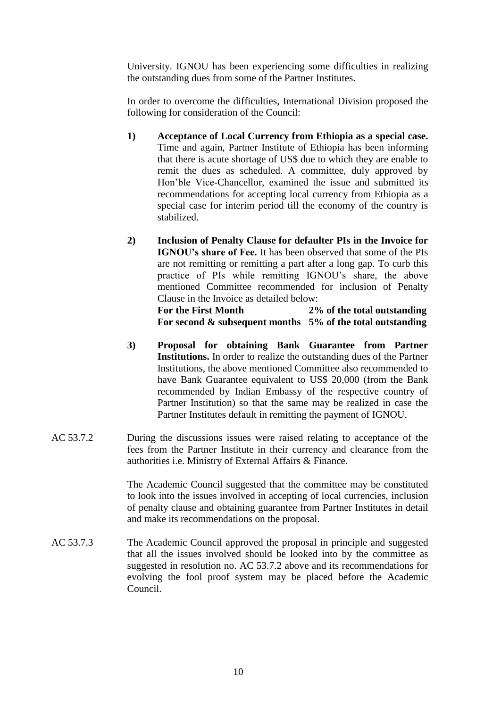University. IGNOU has been experiencing some difficulties in realizing the outstanding dues from some of the Partner Institutes.

In order to overcome the difficulties, International Division proposed the following for consideration of the Council:

- **1) Acceptance of Local Currency from Ethiopia as a special case.** Time and again, Partner Institute of Ethiopia has been informing that there is acute shortage of US\$ due to which they are enable to remit the dues as scheduled. A committee, duly approved by Hon'ble Vice-Chancellor, examined the issue and submitted its recommendations for accepting local currency from Ethiopia as a special case for interim period till the economy of the country is stabilized.
- **2) Inclusion of Penalty Clause for defaulter PIs in the Invoice for IGNOU's share of Fee.** It has been observed that some of the PIs are not remitting or remitting a part after a long gap. To curb this practice of PIs while remitting IGNOU's share, the above mentioned Committee recommended for inclusion of Penalty Clause in the Invoice as detailed below:

**For the First Month 2% of the total outstanding For second & subsequent months 5% of the total outstanding**

- **3) Proposal for obtaining Bank Guarantee from Partner Institutions.** In order to realize the outstanding dues of the Partner Institutions, the above mentioned Committee also recommended to have Bank Guarantee equivalent to US\$ 20,000 (from the Bank recommended by Indian Embassy of the respective country of Partner Institution) so that the same may be realized in case the Partner Institutes default in remitting the payment of IGNOU.
- AC 53.7.2 During the discussions issues were raised relating to acceptance of the fees from the Partner Institute in their currency and clearance from the authorities i.e. Ministry of External Affairs & Finance.

The Academic Council suggested that the committee may be constituted to look into the issues involved in accepting of local currencies, inclusion of penalty clause and obtaining guarantee from Partner Institutes in detail and make its recommendations on the proposal.

AC 53.7.3 The Academic Council approved the proposal in principle and suggested that all the issues involved should be looked into by the committee as suggested in resolution no. AC 53.7.2 above and its recommendations for evolving the fool proof system may be placed before the Academic Council.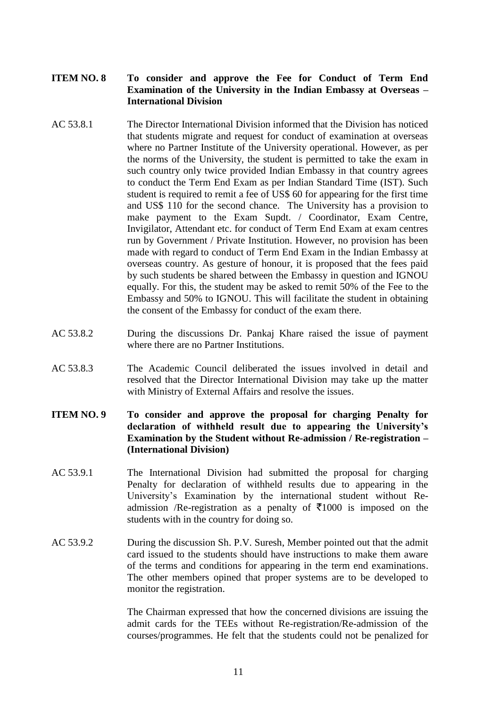# **ITEM NO. 8 To consider and approve the Fee for Conduct of Term End Examination of the University in the Indian Embassy at Overseas – International Division**

- AC 53.8.1 The Director International Division informed that the Division has noticed that students migrate and request for conduct of examination at overseas where no Partner Institute of the University operational. However, as per the norms of the University, the student is permitted to take the exam in such country only twice provided Indian Embassy in that country agrees to conduct the Term End Exam as per Indian Standard Time (IST). Such student is required to remit a fee of US\$ 60 for appearing for the first time and US\$ 110 for the second chance. The University has a provision to make payment to the Exam Supdt. / Coordinator, Exam Centre, Invigilator, Attendant etc. for conduct of Term End Exam at exam centres run by Government / Private Institution. However, no provision has been made with regard to conduct of Term End Exam in the Indian Embassy at overseas country. As gesture of honour, it is proposed that the fees paid by such students be shared between the Embassy in question and IGNOU equally. For this, the student may be asked to remit 50% of the Fee to the Embassy and 50% to IGNOU. This will facilitate the student in obtaining the consent of the Embassy for conduct of the exam there.
- AC 53.8.2 During the discussions Dr. Pankaj Khare raised the issue of payment where there are no Partner Institutions.
- AC 53.8.3 The Academic Council deliberated the issues involved in detail and resolved that the Director International Division may take up the matter with Ministry of External Affairs and resolve the issues.
- **ITEM NO. 9 To consider and approve the proposal for charging Penalty for declaration of withheld result due to appearing the University's Examination by the Student without Re-admission / Re-registration – (International Division)**
- AC 53.9.1 The International Division had submitted the proposal for charging Penalty for declaration of withheld results due to appearing in the University's Examination by the international student without Readmission /Re-registration as a penalty of  $\overline{5}1000$  is imposed on the students with in the country for doing so.
- AC 53.9.2 During the discussion Sh. P.V. Suresh, Member pointed out that the admit card issued to the students should have instructions to make them aware of the terms and conditions for appearing in the term end examinations. The other members opined that proper systems are to be developed to monitor the registration.

The Chairman expressed that how the concerned divisions are issuing the admit cards for the TEEs without Re-registration/Re-admission of the courses/programmes. He felt that the students could not be penalized for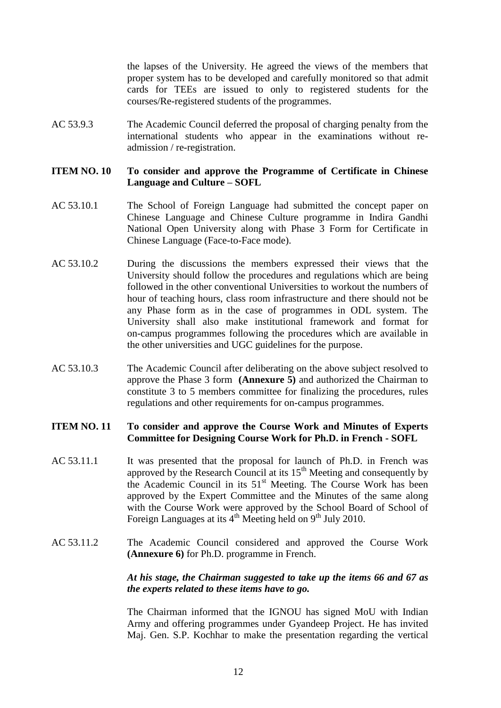the lapses of the University. He agreed the views of the members that proper system has to be developed and carefully monitored so that admit cards for TEEs are issued to only to registered students for the courses/Re-registered students of the programmes.

AC 53.9.3 The Academic Council deferred the proposal of charging penalty from the international students who appear in the examinations without readmission / re-registration.

#### **ITEM NO. 10 To consider and approve the Programme of Certificate in Chinese Language and Culture – SOFL**

- AC 53.10.1 The School of Foreign Language had submitted the concept paper on Chinese Language and Chinese Culture programme in Indira Gandhi National Open University along with Phase 3 Form for Certificate in Chinese Language (Face-to-Face mode).
- AC 53.10.2 During the discussions the members expressed their views that the University should follow the procedures and regulations which are being followed in the other conventional Universities to workout the numbers of hour of teaching hours, class room infrastructure and there should not be any Phase form as in the case of programmes in ODL system. The University shall also make institutional framework and format for on-campus programmes following the procedures which are available in the other universities and UGC guidelines for the purpose.
- AC 53.10.3 The Academic Council after deliberating on the above subject resolved to approve the Phase 3 form **(Annexure 5)** and authorized the Chairman to constitute 3 to 5 members committee for finalizing the procedures, rules regulations and other requirements for on-campus programmes.

# **ITEM NO. 11 To consider and approve the Course Work and Minutes of Experts Committee for Designing Course Work for Ph.D. in French - SOFL**

- AC 53.11.1 It was presented that the proposal for launch of Ph.D. in French was approved by the Research Council at its  $15<sup>th</sup>$  Meeting and consequently by the Academic Council in its 51<sup>st</sup> Meeting. The Course Work has been approved by the Expert Committee and the Minutes of the same along with the Course Work were approved by the School Board of School of Foreign Languages at its  $4<sup>th</sup>$  Meeting held on 9<sup>th</sup> July 2010.
- AC 53.11.2 The Academic Council considered and approved the Course Work **(Annexure 6)** for Ph.D. programme in French.

# *At his stage, the Chairman suggested to take up the items 66 and 67 as the experts related to these items have to go.*

The Chairman informed that the IGNOU has signed MoU with Indian Army and offering programmes under Gyandeep Project. He has invited Maj. Gen. S.P. Kochhar to make the presentation regarding the vertical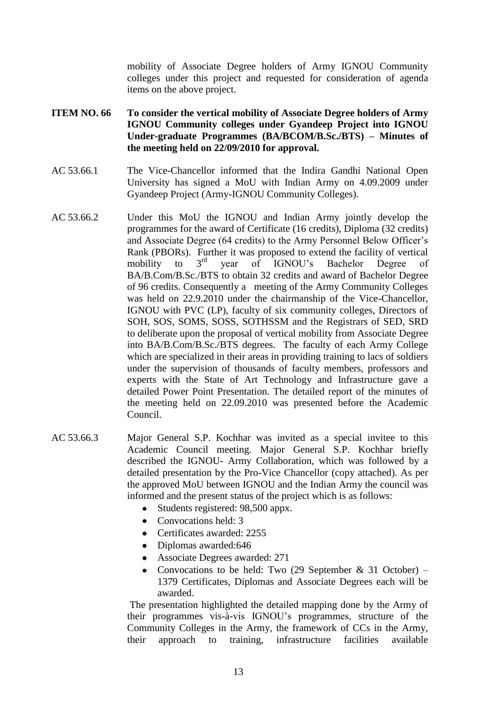mobility of Associate Degree holders of Army IGNOU Community colleges under this project and requested for consideration of agenda items on the above project.

# **ITEM NO. 66 To consider the vertical mobility of Associate Degree holders of Army IGNOU Community colleges under Gyandeep Project into IGNOU Under-graduate Programmes (BA/BCOM/B.Sc./BTS) – Minutes of the meeting held on 22/09/2010 for approval.**

- AC 53.66.1 The Vice-Chancellor informed that the Indira Gandhi National Open University has signed a MoU with Indian Army on 4.09.2009 under Gyandeep Project (Army-IGNOU Community Colleges).
- AC 53.66.2 Under this MoU the IGNOU and Indian Army jointly develop the programmes for the award of Certificate (16 credits), Diploma (32 credits) and Associate Degree (64 credits) to the Army Personnel Below Officer's Rank (PBORs). Further it was proposed to extend the facility of vertical mobility to 3<sup>rd</sup> year of IGNOU's Bachelor Degree of BA/B.Com/B.Sc./BTS to obtain 32 credits and award of Bachelor Degree of 96 credits. Consequently a meeting of the Army Community Colleges was held on 22.9.2010 under the chairmanship of the Vice-Chancellor, IGNOU with PVC (LP), faculty of six community colleges, Directors of SOH, SOS, SOMS, SOSS, SOTHSSM and the Registrars of SED, SRD to deliberate upon the proposal of vertical mobility from Associate Degree into BA/B.Com/B.Sc./BTS degrees. The faculty of each Army College which are specialized in their areas in providing training to lacs of soldiers under the supervision of thousands of faculty members, professors and experts with the State of Art Technology and Infrastructure gave a detailed Power Point Presentation. The detailed report of the minutes of the meeting held on 22.09.2010 was presented before the Academic Council.
- AC 53.66.3 Major General S.P. Kochhar was invited as a special invitee to this Academic Council meeting. Major General S.P. Kochhar briefly described the IGNOU- Army Collaboration, which was followed by a detailed presentation by the Pro-Vice Chancellor (copy attached). As per the approved MoU between IGNOU and the Indian Army the council was informed and the present status of the project which is as follows:
	- Students registered: 98,500 appx.  $\bullet$
	- Convocations held: 3
	- Certificates awarded: 2255
	- Diplomas awarded: 646
	- Associate Degrees awarded: 271
	- Convocations to be held: Two  $(29$  September & 31 October) 1379 Certificates, Diplomas and Associate Degrees each will be awarded.

The presentation highlighted the detailed mapping done by the Army of their programmes vis-à-vis IGNOU's programmes, structure of the Community Colleges in the Army, the framework of CCs in the Army, their approach to training, infrastructure facilities available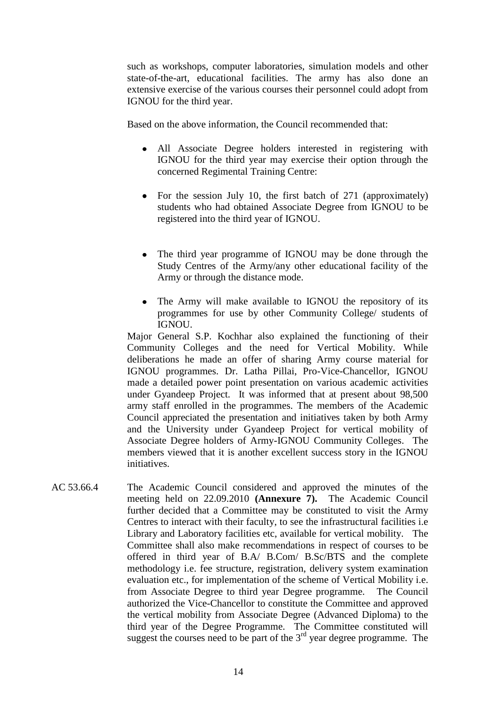such as workshops, computer laboratories, simulation models and other state-of-the-art, educational facilities. The army has also done an extensive exercise of the various courses their personnel could adopt from IGNOU for the third year.

Based on the above information, the Council recommended that:

- All Associate Degree holders interested in registering with IGNOU for the third year may exercise their option through the concerned Regimental Training Centre:
- For the session July 10, the first batch of  $271$  (approximately) students who had obtained Associate Degree from IGNOU to be registered into the third year of IGNOU.
- The third year programme of IGNOU may be done through the Study Centres of the Army/any other educational facility of the Army or through the distance mode.
- The Army will make available to IGNOU the repository of its programmes for use by other Community College/ students of IGNOU.

Major General S.P. Kochhar also explained the functioning of their Community Colleges and the need for Vertical Mobility. While deliberations he made an offer of sharing Army course material for IGNOU programmes. Dr. Latha Pillai, Pro-Vice-Chancellor, IGNOU made a detailed power point presentation on various academic activities under Gyandeep Project. It was informed that at present about 98,500 army staff enrolled in the programmes. The members of the Academic Council appreciated the presentation and initiatives taken by both Army and the University under Gyandeep Project for vertical mobility of Associate Degree holders of Army-IGNOU Community Colleges. The members viewed that it is another excellent success story in the IGNOU initiatives.

AC 53.66.4 The Academic Council considered and approved the minutes of the meeting held on 22.09.2010 **(Annexure 7).** The Academic Council further decided that a Committee may be constituted to visit the Army Centres to interact with their faculty, to see the infrastructural facilities i.e Library and Laboratory facilities etc, available for vertical mobility. The Committee shall also make recommendations in respect of courses to be offered in third year of B.A/ B.Com/ B.Sc/BTS and the complete methodology i.e. fee structure, registration, delivery system examination evaluation etc., for implementation of the scheme of Vertical Mobility i.e. from Associate Degree to third year Degree programme. The Council authorized the Vice-Chancellor to constitute the Committee and approved the vertical mobility from Associate Degree (Advanced Diploma) to the third year of the Degree Programme. The Committee constituted will suggest the courses need to be part of the  $3<sup>rd</sup>$  year degree programme. The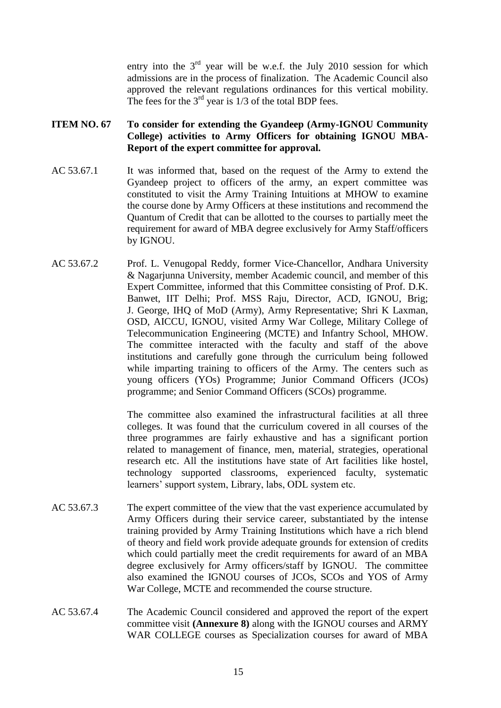entry into the  $3<sup>rd</sup>$  year will be w.e.f. the July 2010 session for which admissions are in the process of finalization. The Academic Council also approved the relevant regulations ordinances for this vertical mobility. The fees for the  $3<sup>rd</sup>$  year is  $1/3$  of the total BDP fees.

# **ITEM NO. 67 To consider for extending the Gyandeep (Army-IGNOU Community College) activities to Army Officers for obtaining IGNOU MBA-Report of the expert committee for approval.**

- AC 53.67.1 It was informed that, based on the request of the Army to extend the Gyandeep project to officers of the army, an expert committee was constituted to visit the Army Training Intuitions at MHOW to examine the course done by Army Officers at these institutions and recommend the Quantum of Credit that can be allotted to the courses to partially meet the requirement for award of MBA degree exclusively for Army Staff/officers by IGNOU.
- AC 53.67.2 Prof. L. Venugopal Reddy, former Vice-Chancellor, Andhara University & Nagarjunna University, member Academic council, and member of this Expert Committee, informed that this Committee consisting of Prof. D.K. Banwet, IIT Delhi; Prof. MSS Raju, Director, ACD, IGNOU, Brig; J. George, IHQ of MoD (Army), Army Representative; Shri K Laxman, OSD, AICCU, IGNOU, visited Army War College, Military College of Telecommunication Engineering (MCTE) and Infantry School, MHOW. The committee interacted with the faculty and staff of the above institutions and carefully gone through the curriculum being followed while imparting training to officers of the Army. The centers such as young officers (YOs) Programme; Junior Command Officers (JCOs) programme; and Senior Command Officers (SCOs) programme.

The committee also examined the infrastructural facilities at all three colleges. It was found that the curriculum covered in all courses of the three programmes are fairly exhaustive and has a significant portion related to management of finance, men, material, strategies, operational research etc. All the institutions have state of Art facilities like hostel, technology supported classrooms, experienced faculty, systematic learners' support system, Library, labs, ODL system etc.

- AC 53.67.3 The expert committee of the view that the vast experience accumulated by Army Officers during their service career, substantiated by the intense training provided by Army Training Institutions which have a rich blend of theory and field work provide adequate grounds for extension of credits which could partially meet the credit requirements for award of an MBA degree exclusively for Army officers/staff by IGNOU. The committee also examined the IGNOU courses of JCOs, SCOs and YOS of Army War College, MCTE and recommended the course structure.
- AC 53.67.4 The Academic Council considered and approved the report of the expert committee visit **(Annexure 8)** along with the IGNOU courses and ARMY WAR COLLEGE courses as Specialization courses for award of MBA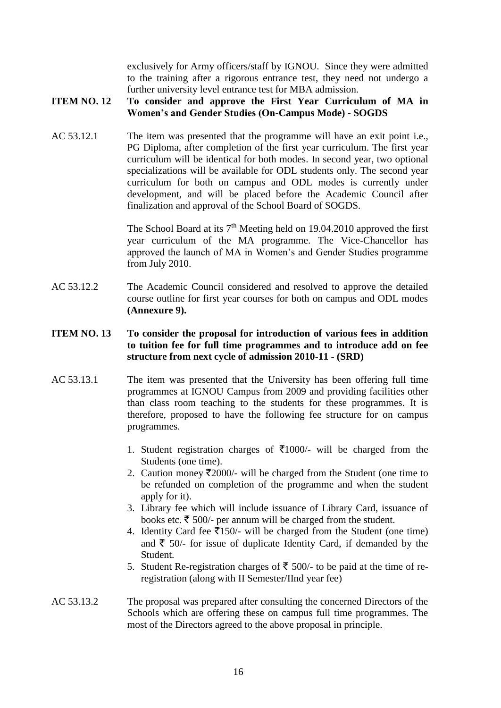exclusively for Army officers/staff by IGNOU. Since they were admitted to the training after a rigorous entrance test, they need not undergo a further university level entrance test for MBA admission.

#### **ITEM NO. 12 To consider and approve the First Year Curriculum of MA in Women's and Gender Studies (On-Campus Mode) - SOGDS**

AC 53.12.1 The item was presented that the programme will have an exit point i.e., PG Diploma, after completion of the first year curriculum. The first year curriculum will be identical for both modes. In second year, two optional specializations will be available for ODL students only. The second year curriculum for both on campus and ODL modes is currently under development, and will be placed before the Academic Council after finalization and approval of the School Board of SOGDS.

> The School Board at its  $7<sup>th</sup>$  Meeting held on 19.04.2010 approved the first year curriculum of the MA programme. The Vice-Chancellor has approved the launch of MA in Women's and Gender Studies programme from July 2010.

AC 53.12.2 The Academic Council considered and resolved to approve the detailed course outline for first year courses for both on campus and ODL modes **(Annexure 9).**

# **ITEM NO. 13 To consider the proposal for introduction of various fees in addition to tuition fee for full time programmes and to introduce add on fee structure from next cycle of admission 2010-11 - (SRD)**

- AC 53.13.1 The item was presented that the University has been offering full time programmes at IGNOU Campus from 2009 and providing facilities other than class room teaching to the students for these programmes. It is therefore, proposed to have the following fee structure for on campus programmes.
	- 1. Student registration charges of  $\bar{\tau}1000/-\bar{\tau}$  will be charged from the Students (one time).
	- 2. Caution money  $\overline{\mathfrak{Z}}2000$ /- will be charged from the Student (one time to be refunded on completion of the programme and when the student apply for it).
	- 3. Library fee which will include issuance of Library Card, issuance of books etc.  $\bar{\tau}$  500/- per annum will be charged from the student.
	- 4. Identity Card fee  $\overline{\text{I}}$ 150/- will be charged from the Student (one time) and  $\bar{\tau}$  50/- for issue of duplicate Identity Card, if demanded by the Student.
	- 5. Student Re-registration charges of  $\bar{\tau}$  500/- to be paid at the time of reregistration (along with II Semester/IInd year fee)

# AC 53.13.2 The proposal was prepared after consulting the concerned Directors of the Schools which are offering these on campus full time programmes. The most of the Directors agreed to the above proposal in principle.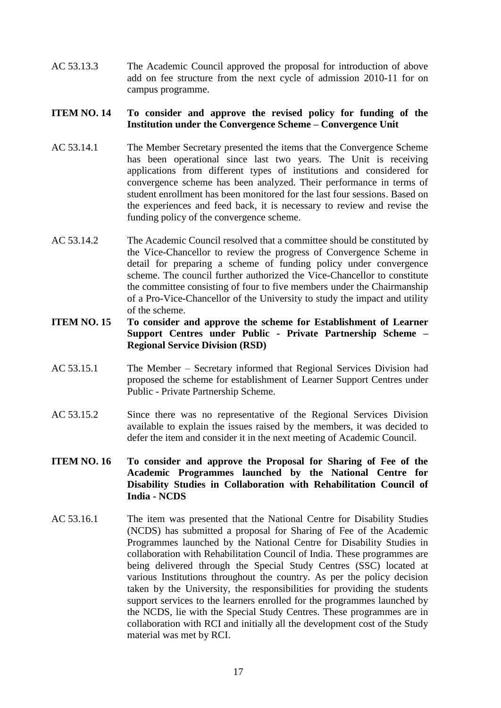AC 53.13.3 The Academic Council approved the proposal for introduction of above add on fee structure from the next cycle of admission 2010-11 for on campus programme.

# **ITEM NO. 14 To consider and approve the revised policy for funding of the Institution under the Convergence Scheme – Convergence Unit**

- AC 53.14.1 The Member Secretary presented the items that the Convergence Scheme has been operational since last two years. The Unit is receiving applications from different types of institutions and considered for convergence scheme has been analyzed. Their performance in terms of student enrollment has been monitored for the last four sessions. Based on the experiences and feed back, it is necessary to review and revise the funding policy of the convergence scheme.
- AC 53.14.2 The Academic Council resolved that a committee should be constituted by the Vice-Chancellor to review the progress of Convergence Scheme in detail for preparing a scheme of funding policy under convergence scheme. The council further authorized the Vice-Chancellor to constitute the committee consisting of four to five members under the Chairmanship of a Pro-Vice-Chancellor of the University to study the impact and utility of the scheme.

### **ITEM NO. 15 To consider and approve the scheme for Establishment of Learner Support Centres under Public - Private Partnership Scheme – Regional Service Division (RSD)**

- AC 53.15.1 The Member Secretary informed that Regional Services Division had proposed the scheme for establishment of Learner Support Centres under Public - Private Partnership Scheme.
- AC 53.15.2 Since there was no representative of the Regional Services Division available to explain the issues raised by the members, it was decided to defer the item and consider it in the next meeting of Academic Council.
- **ITEM NO. 16 To consider and approve the Proposal for Sharing of Fee of the Academic Programmes launched by the National Centre for Disability Studies in Collaboration with Rehabilitation Council of India - NCDS**
- AC 53.16.1 The item was presented that the National Centre for Disability Studies (NCDS) has submitted a proposal for Sharing of Fee of the Academic Programmes launched by the National Centre for Disability Studies in collaboration with Rehabilitation Council of India. These programmes are being delivered through the Special Study Centres (SSC) located at various Institutions throughout the country. As per the policy decision taken by the University, the responsibilities for providing the students support services to the learners enrolled for the programmes launched by the NCDS, lie with the Special Study Centres. These programmes are in collaboration with RCI and initially all the development cost of the Study material was met by RCI.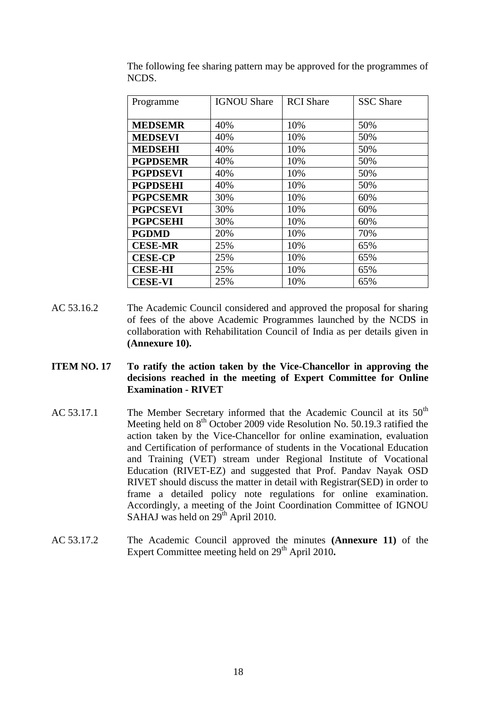| Programme       | <b>IGNOU Share</b> | <b>RCI</b> Share | <b>SSC</b> Share |
|-----------------|--------------------|------------------|------------------|
|                 |                    |                  |                  |
| <b>MEDSEMR</b>  | 40%                | 10%              | 50%              |
| <b>MEDSEVI</b>  | 40%                | 10%              | 50%              |
| <b>MEDSEHI</b>  | 40%                | 10%              | 50%              |
| <b>PGPDSEMR</b> | 40%                | 10%              | 50%              |
| <b>PGPDSEVI</b> | 40%                | 10%              | 50%              |
| <b>PGPDSEHI</b> | 40%                | 10%              | 50%              |
| <b>PGPCSEMR</b> | 30%                | 10%              | 60%              |
| <b>PGPCSEVI</b> | 30%                | 10%              | 60%              |
| <b>PGPCSEHI</b> | 30%                | 10%              | 60%              |
| <b>PGDMD</b>    | 20%                | 10%              | 70%              |
| <b>CESE-MR</b>  | 25%                | 10%              | 65%              |
| <b>CESE-CP</b>  | 25%                | 10%              | 65%              |
| <b>CESE-HI</b>  | 25%                | 10%              | 65%              |
| <b>CESE-VI</b>  | 25%                | 10%              | 65%              |

The following fee sharing pattern may be approved for the programmes of NCDS.

- AC 53.16.2 The Academic Council considered and approved the proposal for sharing of fees of the above Academic Programmes launched by the NCDS in collaboration with Rehabilitation Council of India as per details given in **(Annexure 10).**
- **ITEM NO. 17 To ratify the action taken by the Vice-Chancellor in approving the decisions reached in the meeting of Expert Committee for Online Examination - RIVET**
- AC 53.17.1 The Member Secretary informed that the Academic Council at its  $50<sup>th</sup>$ Meeting held on  $8<sup>th</sup>$  October 2009 vide Resolution No. 50.19.3 ratified the action taken by the Vice-Chancellor for online examination, evaluation and Certification of performance of students in the Vocational Education and Training (VET) stream under Regional Institute of Vocational Education (RIVET-EZ) and suggested that Prof. Pandav Nayak OSD RIVET should discuss the matter in detail with Registrar(SED) in order to frame a detailed policy note regulations for online examination. Accordingly, a meeting of the Joint Coordination Committee of IGNOU SAHAJ was held on  $29<sup>th</sup>$  April 2010.
- AC 53.17.2 The Academic Council approved the minutes **(Annexure 11)** of the Expert Committee meeting held on 29<sup>th</sup> April 2010.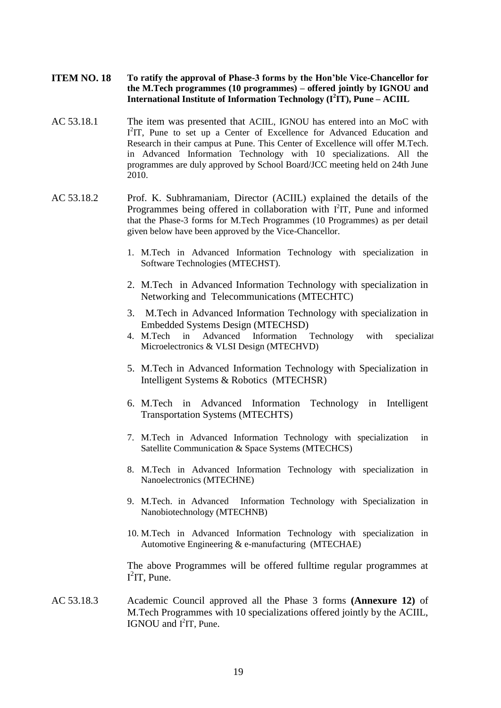- **ITEM NO. 18 To ratify the approval of Phase-3 forms by the Hon'ble Vice-Chancellor for the M.Tech programmes (10 programmes) – offered jointly by IGNOU and International Institute of Information Technology (I<sup>2</sup> IT), Pune – ACIIL**
- AC 53.18.1 The item was presented that ACIIL, IGNOU has entered into an MoC with I<sup>2</sup>IT, Pune to set up a Center of Excellence for Advanced Education and Research in their campus at Pune. This Center of Excellence will offer M.Tech. in Advanced Information Technology with 10 specializations. All the programmes are duly approved by School Board/JCC meeting held on 24th June 2010.
- AC 53.18.2 Prof. K. Subhramaniam, Director (ACIIL) explained the details of the Programmes being offered in collaboration with  $I<sup>2</sup>IT$ , Pune and informed that the Phase-3 forms for M.Tech Programmes (10 Programmes) as per detail given below have been approved by the Vice-Chancellor.
	- 1. M.Tech in Advanced Information Technology with specialization in Software Technologies (MTECHST).
	- 2. M.Tech in Advanced Information Technology with specialization in Networking and Telecommunications (MTECHTC)
	- 3. M.Tech in Advanced Information Technology with specialization in Embedded Systems Design (MTECHSD)
	- 4. M.Tech in Advanced Information Technology with specializat Microelectronics & VLSI Design (MTECHVD)
	- 5. M.Tech in Advanced Information Technology with Specialization in Intelligent Systems & Robotics (MTECHSR)
	- 6. M.Tech in Advanced Information Technology in Intelligent Transportation Systems (MTECHTS)
	- 7. M.Tech in Advanced Information Technology with specialization in Satellite Communication & Space Systems (MTECHCS)
	- 8. M.Tech in Advanced Information Technology with specialization in Nanoelectronics (MTECHNE)
	- 9. M.Tech. in Advanced Information Technology with Specialization in Nanobiotechnology (MTECHNB)
	- 10. M.Tech in Advanced Information Technology with specialization in Automotive Engineering & e-manufacturing (MTECHAE)

The above Programmes will be offered fulltime regular programmes at  $I^2IT$ , Pune.

AC 53.18.3 Academic Council approved all the Phase 3 forms **(Annexure 12)** of M.Tech Programmes with 10 specializations offered jointly by the ACIIL, IGNOU and  $I^2IT$ , Pune.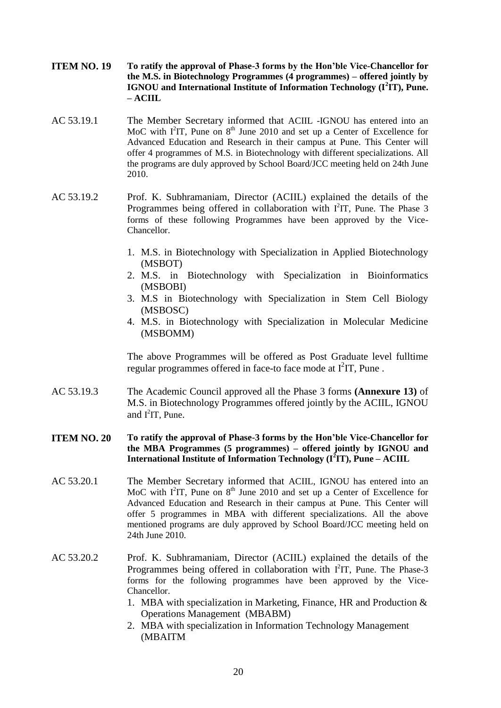- **ITEM NO. 19 To ratify the approval of Phase-3 forms by the Hon'ble Vice-Chancellor for the M.S. in Biotechnology Programmes (4 programmes) – offered jointly by IGNOU and International Institute of Information Technology (I<sup>2</sup> IT), Pune. – ACIIL**
- AC 53.19.1 The Member Secretary informed that ACIIL -IGNOU has entered into an MoC with  $I^2IT$ , Pune on  $8<sup>th</sup>$  June 2010 and set up a Center of Excellence for Advanced Education and Research in their campus at Pune. This Center will offer 4 programmes of M.S. in Biotechnology with different specializations. All the programs are duly approved by School Board/JCC meeting held on 24th June 2010.
- AC 53.19.2 Prof. K. Subhramaniam, Director (ACIIL) explained the details of the Programmes being offered in collaboration with  $I^2IT$ , Pune. The Phase 3 forms of these following Programmes have been approved by the Vice-Chancellor.
	- 1. M.S. in Biotechnology with Specialization in Applied Biotechnology (MSBOT)
	- 2. M.S. in Biotechnology with Specialization in Bioinformatics (MSBOBI)
	- 3. M.S in Biotechnology with Specialization in Stem Cell Biology (MSBOSC)
	- 4. M.S. in Biotechnology with Specialization in Molecular Medicine (MSBOMM)

The above Programmes will be offered as Post Graduate level fulltime regular programmes offered in face-to face mode at  $I^2IT$ , Pune.

- AC 53.19.3 The Academic Council approved all the Phase 3 forms **(Annexure 13)** of M.S. in Biotechnology Programmes offered jointly by the ACIIL, IGNOU and  $I^2IT$ , Pune.
- **ITEM NO. 20 To ratify the approval of Phase-3 forms by the Hon'ble Vice-Chancellor for the MBA Programmes (5 programmes) – offered jointly by IGNOU and International Institute of Information Technology (I<sup>2</sup> IT), Pune – ACIIL**
- AC 53.20.1 The Member Secretary informed that ACIIL, IGNOU has entered into an MoC with  $I^2IT$ , Pune on  $8<sup>th</sup>$  June 2010 and set up a Center of Excellence for Advanced Education and Research in their campus at Pune. This Center will offer 5 programmes in MBA with different specializations. All the above mentioned programs are duly approved by School Board/JCC meeting held on 24th June 2010.
- AC 53.20.2 Prof. K. Subhramaniam, Director (ACIIL) explained the details of the Programmes being offered in collaboration with I<sup>2</sup>IT, Pune. The Phase-3 forms for the following programmes have been approved by the Vice-Chancellor.
	- 1. MBA with specialization in Marketing, Finance, HR and Production  $\&$ Operations Management (MBABM)
	- 2. MBA with specialization in Information Technology Management (MBAITM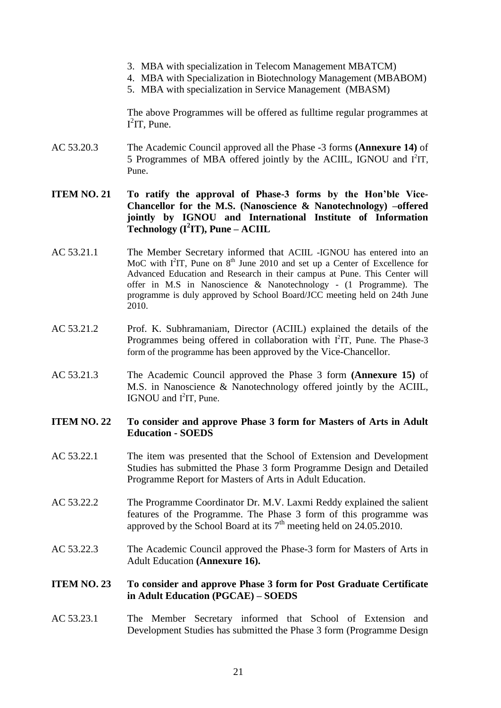- 3. MBA with specialization in Telecom Management MBATCM)
- 4. MBA with Specialization in Biotechnology Management (MBABOM)
- 5. MBA with specialization in Service Management (MBASM)

The above Programmes will be offered as fulltime regular programmes at  $I^2IT$ , Pune.

AC 53.20.3 The Academic Council approved all the Phase -3 forms **(Annexure 14)** of 5 Programmes of MBA offered jointly by the ACIIL, IGNOU and  $I^2IT$ , Pune.

# **ITEM NO. 21 To ratify the approval of Phase-3 forms by the Hon'ble Vice-Chancellor for the M.S. (Nanoscience & Nanotechnology) –offered jointly by IGNOU and International Institute of Information Technology (I<sup>2</sup> IT), Pune – ACIIL**

- AC 53.21.1 The Member Secretary informed that ACIIL -IGNOU has entered into an MoC with  $I^2IT$ , Pune on  $8<sup>th</sup>$  June 2010 and set up a Center of Excellence for Advanced Education and Research in their campus at Pune. This Center will offer in M.S in Nanoscience & Nanotechnology - (1 Programme). The programme is duly approved by School Board/JCC meeting held on 24th June 2010.
- AC 53.21.2 Prof. K. Subhramaniam, Director (ACIIL) explained the details of the Programmes being offered in collaboration with I<sup>2</sup>IT, Pune. The Phase-3 form of the programme has been approved by the Vice-Chancellor.
- AC 53.21.3 The Academic Council approved the Phase 3 form **(Annexure 15)** of M.S. in Nanoscience & Nanotechnology offered jointly by the ACIIL, IGNOU and I<sup>2</sup>IT, Pune.

# **ITEM NO. 22 To consider and approve Phase 3 form for Masters of Arts in Adult Education - SOEDS**

- AC 53.22.1 The item was presented that the School of Extension and Development Studies has submitted the Phase 3 form Programme Design and Detailed Programme Report for Masters of Arts in Adult Education.
- AC 53.22.2 The Programme Coordinator Dr. M.V. Laxmi Reddy explained the salient features of the Programme. The Phase 3 form of this programme was approved by the School Board at its  $7<sup>th</sup>$  meeting held on 24.05.2010.
- AC 53.22.3 The Academic Council approved the Phase-3 form for Masters of Arts in Adult Education **(Annexure 16).**

# **ITEM NO. 23 To consider and approve Phase 3 form for Post Graduate Certificate in Adult Education (PGCAE) – SOEDS**

AC 53.23.1 The Member Secretary informed that School of Extension and Development Studies has submitted the Phase 3 form (Programme Design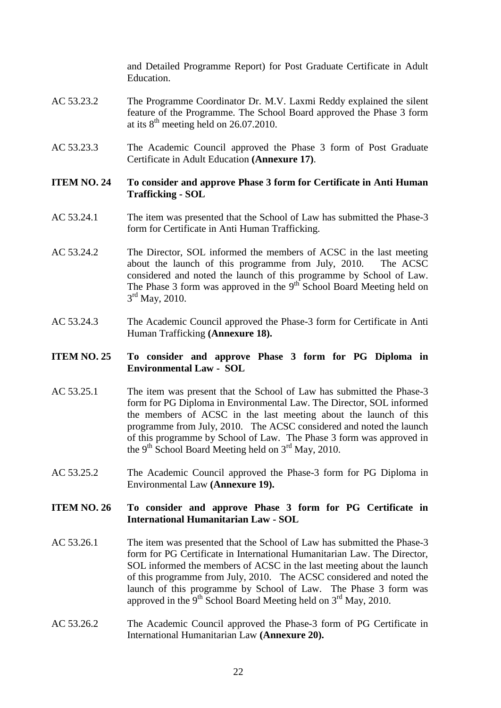and Detailed Programme Report) for Post Graduate Certificate in Adult Education.

- AC 53.23.2 The Programme Coordinator Dr. M.V. Laxmi Reddy explained the silent feature of the Programme. The School Board approved the Phase 3 form at its  $8<sup>th</sup>$  meeting held on 26.07.2010.
- AC 53.23.3 The Academic Council approved the Phase 3 form of Post Graduate Certificate in Adult Education **(Annexure 17)**.

#### **ITEM NO. 24 To consider and approve Phase 3 form for Certificate in Anti Human Trafficking - SOL**

- AC 53.24.1 The item was presented that the School of Law has submitted the Phase-3 form for Certificate in Anti Human Trafficking.
- AC 53.24.2 The Director, SOL informed the members of ACSC in the last meeting about the launch of this programme from July, 2010. The ACSC considered and noted the launch of this programme by School of Law. The Phase 3 form was approved in the  $9<sup>th</sup>$  School Board Meeting held on  $3<sup>rd</sup>$  May, 2010.
- AC 53.24.3 The Academic Council approved the Phase-3 form for Certificate in Anti Human Trafficking **(Annexure 18).**

# **ITEM NO. 25 To consider and approve Phase 3 form for PG Diploma in Environmental Law - SOL**

- AC 53.25.1 The item was present that the School of Law has submitted the Phase-3 form for PG Diploma in Environmental Law. The Director, SOL informed the members of ACSC in the last meeting about the launch of this programme from July, 2010. The ACSC considered and noted the launch of this programme by School of Law. The Phase 3 form was approved in the 9<sup>th</sup> School Board Meeting held on  $3<sup>rd</sup>$  May, 2010.
- AC 53.25.2 The Academic Council approved the Phase-3 form for PG Diploma in Environmental Law **(Annexure 19).**

# **ITEM NO. 26 To consider and approve Phase 3 form for PG Certificate in International Humanitarian Law - SOL**

- AC 53.26.1 The item was presented that the School of Law has submitted the Phase-3 form for PG Certificate in International Humanitarian Law. The Director, SOL informed the members of ACSC in the last meeting about the launch of this programme from July, 2010. The ACSC considered and noted the launch of this programme by School of Law. The Phase 3 form was approved in the 9<sup>th</sup> School Board Meeting held on  $3<sup>rd</sup>$  May, 2010.
- AC 53.26.2 The Academic Council approved the Phase-3 form of PG Certificate in International Humanitarian Law **(Annexure 20).**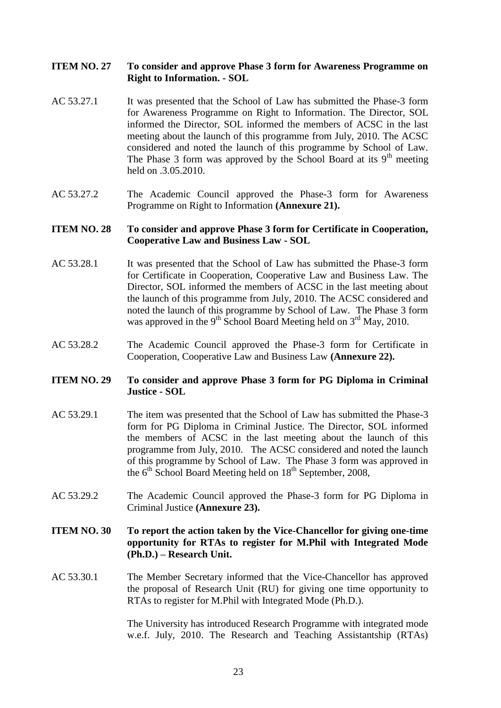### **ITEM NO. 27 To consider and approve Phase 3 form for Awareness Programme on Right to Information. - SOL**

- AC 53.27.1 It was presented that the School of Law has submitted the Phase-3 form for Awareness Programme on Right to Information. The Director, SOL informed the Director, SOL informed the members of ACSC in the last meeting about the launch of this programme from July, 2010. The ACSC considered and noted the launch of this programme by School of Law. The Phase 3 form was approved by the School Board at its  $9<sup>th</sup>$  meeting held on .3.05.2010.
- AC 53.27.2 The Academic Council approved the Phase-3 form for Awareness Programme on Right to Information **(Annexure 21).**

#### **ITEM NO. 28 To consider and approve Phase 3 form for Certificate in Cooperation, Cooperative Law and Business Law - SOL**

- AC 53.28.1 It was presented that the School of Law has submitted the Phase-3 form for Certificate in Cooperation, Cooperative Law and Business Law. The Director, SOL informed the members of ACSC in the last meeting about the launch of this programme from July, 2010. The ACSC considered and noted the launch of this programme by School of Law. The Phase 3 form was approved in the 9<sup>th</sup> School Board Meeting held on  $3<sup>rd</sup>$  May, 2010.
- AC 53.28.2 The Academic Council approved the Phase-3 form for Certificate in Cooperation, Cooperative Law and Business Law **(Annexure 22).**

#### **ITEM NO. 29 To consider and approve Phase 3 form for PG Diploma in Criminal Justice - SOL**

- AC 53.29.1 The item was presented that the School of Law has submitted the Phase-3 form for PG Diploma in Criminal Justice. The Director, SOL informed the members of ACSC in the last meeting about the launch of this programme from July, 2010. The ACSC considered and noted the launch of this programme by School of Law. The Phase 3 form was approved in the 6<sup>th</sup> School Board Meeting held on 18<sup>th</sup> September, 2008,
- AC 53.29.2 The Academic Council approved the Phase-3 form for PG Diploma in Criminal Justice **(Annexure 23).**

# **ITEM NO. 30 To report the action taken by the Vice-Chancellor for giving one-time opportunity for RTAs to register for M.Phil with Integrated Mode (Ph.D.) – Research Unit.**

AC 53.30.1 The Member Secretary informed that the Vice-Chancellor has approved the proposal of Research Unit (RU) for giving one time opportunity to RTAs to register for M.Phil with Integrated Mode (Ph.D.).

> The University has introduced Research Programme with integrated mode w.e.f. July, 2010. The Research and Teaching Assistantship (RTAs)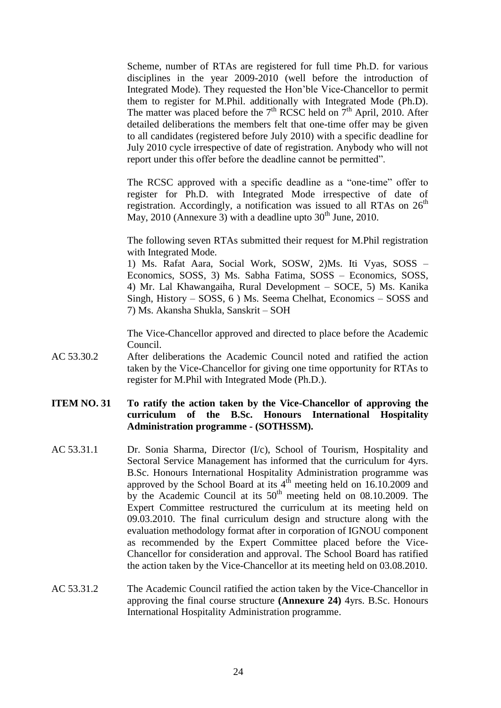Scheme, number of RTAs are registered for full time Ph.D. for various disciplines in the year 2009-2010 (well before the introduction of Integrated Mode). They requested the Hon'ble Vice-Chancellor to permit them to register for M.Phil. additionally with Integrated Mode (Ph.D). The matter was placed before the  $7<sup>th</sup>$  RCSC held on  $7<sup>th</sup>$  April, 2010. After detailed deliberations the members felt that one-time offer may be given to all candidates (registered before July 2010) with a specific deadline for July 2010 cycle irrespective of date of registration. Anybody who will not report under this offer before the deadline cannot be permitted".

The RCSC approved with a specific deadline as a "one-time" offer to register for Ph.D. with Integrated Mode irrespective of date of registration. Accordingly, a notification was issued to all RTAs on 26<sup>th</sup> May, 2010 (Annexure 3) with a deadline upto  $30<sup>th</sup>$  June, 2010.

The following seven RTAs submitted their request for M.Phil registration with Integrated Mode.

1) Ms. Rafat Aara, Social Work, SOSW, 2)Ms. Iti Vyas, SOSS – Economics, SOSS, 3) Ms. Sabha Fatima, SOSS – Economics, SOSS, 4) Mr. Lal Khawangaiha, Rural Development – SOCE, 5) Ms. Kanika Singh, History – SOSS, 6 ) Ms. Seema Chelhat, Economics – SOSS and 7) Ms. Akansha Shukla, Sanskrit – SOH

The Vice-Chancellor approved and directed to place before the Academic Council.

AC 53.30.2 After deliberations the Academic Council noted and ratified the action taken by the Vice-Chancellor for giving one time opportunity for RTAs to register for M.Phil with Integrated Mode (Ph.D.).

# **ITEM NO. 31 To ratify the action taken by the Vice-Chancellor of approving the curriculum of the B.Sc. Honours International Hospitality Administration programme - (SOTHSSM).**

- AC 53.31.1 Dr. Sonia Sharma, Director (I/c), School of Tourism, Hospitality and Sectoral Service Management has informed that the curriculum for 4yrs. B.Sc. Honours International Hospitality Administration programme was approved by the School Board at its  $4<sup>th</sup>$  meeting held on 16.10.2009 and by the Academic Council at its  $50<sup>th</sup>$  meeting held on 08.10.2009. The Expert Committee restructured the curriculum at its meeting held on 09.03.2010. The final curriculum design and structure along with the evaluation methodology format after in corporation of IGNOU component as recommended by the Expert Committee placed before the Vice-Chancellor for consideration and approval. The School Board has ratified the action taken by the Vice-Chancellor at its meeting held on 03.08.2010.
- AC 53.31.2 The Academic Council ratified the action taken by the Vice-Chancellor in approving the final course structure **(Annexure 24)** 4yrs. B.Sc. Honours International Hospitality Administration programme.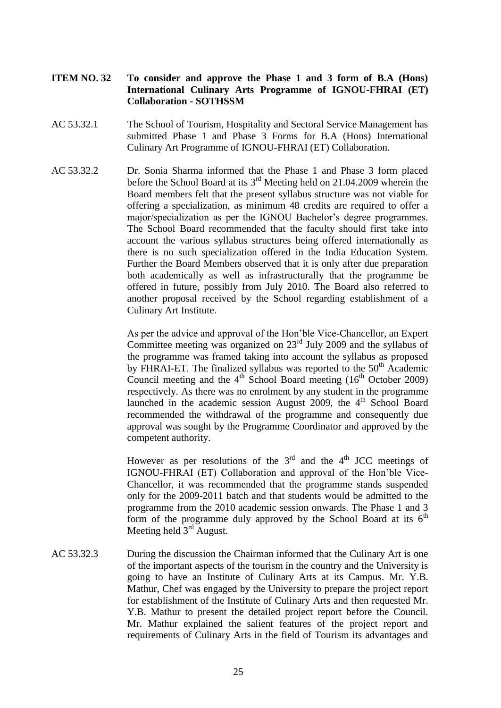# **ITEM NO. 32 To consider and approve the Phase 1 and 3 form of B.A (Hons) International Culinary Arts Programme of IGNOU-FHRAI (ET) Collaboration - SOTHSSM**

- AC 53.32.1 The School of Tourism, Hospitality and Sectoral Service Management has submitted Phase 1 and Phase 3 Forms for B.A (Hons) International Culinary Art Programme of IGNOU-FHRAI (ET) Collaboration.
- AC 53.32.2 Dr. Sonia Sharma informed that the Phase 1 and Phase 3 form placed before the School Board at its 3rd Meeting held on 21.04.2009 wherein the Board members felt that the present syllabus structure was not viable for offering a specialization, as minimum 48 credits are required to offer a major/specialization as per the IGNOU Bachelor's degree programmes. The School Board recommended that the faculty should first take into account the various syllabus structures being offered internationally as there is no such specialization offered in the India Education System. Further the Board Members observed that it is only after due preparation both academically as well as infrastructurally that the programme be offered in future, possibly from July 2010. The Board also referred to another proposal received by the School regarding establishment of a Culinary Art Institute.

As per the advice and approval of the Hon'ble Vice-Chancellor, an Expert Committee meeting was organized on  $23<sup>rd</sup>$  July 2009 and the syllabus of the programme was framed taking into account the syllabus as proposed by FHRAI-ET. The finalized syllabus was reported to the 50<sup>th</sup> Academic Council meeting and the  $4<sup>th</sup>$  School Board meeting (16<sup>th</sup> October 2009) respectively. As there was no enrolment by any student in the programme launched in the academic session August 2009, the  $4<sup>th</sup>$  School Board recommended the withdrawal of the programme and consequently due approval was sought by the Programme Coordinator and approved by the competent authority.

However as per resolutions of the  $3<sup>rd</sup>$  and the 4<sup>th</sup> JCC meetings of IGNOU-FHRAI (ET) Collaboration and approval of the Hon'ble Vice-Chancellor, it was recommended that the programme stands suspended only for the 2009-2011 batch and that students would be admitted to the programme from the 2010 academic session onwards. The Phase 1 and 3 form of the programme duly approved by the School Board at its  $6<sup>th</sup>$ Meeting held  $3<sup>rd</sup>$  August.

AC 53.32.3 During the discussion the Chairman informed that the Culinary Art is one of the important aspects of the tourism in the country and the University is going to have an Institute of Culinary Arts at its Campus. Mr. Y.B. Mathur, Chef was engaged by the University to prepare the project report for establishment of the Institute of Culinary Arts and then requested Mr. Y.B. Mathur to present the detailed project report before the Council. Mr. Mathur explained the salient features of the project report and requirements of Culinary Arts in the field of Tourism its advantages and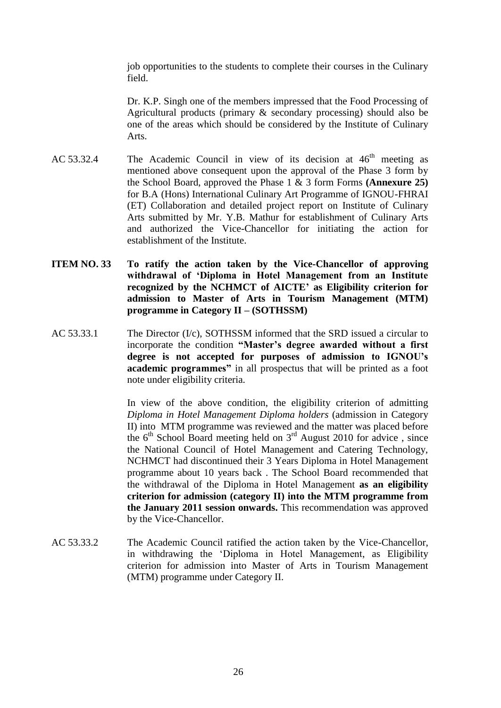job opportunities to the students to complete their courses in the Culinary field.

Dr. K.P. Singh one of the members impressed that the Food Processing of Agricultural products (primary & secondary processing) should also be one of the areas which should be considered by the Institute of Culinary Arts.

- AC 53.32.4 The Academic Council in view of its decision at  $46<sup>th</sup>$  meeting as mentioned above consequent upon the approval of the Phase 3 form by the School Board, approved the Phase 1 & 3 form Forms **(Annexure 25)** for B.A (Hons) International Culinary Art Programme of IGNOU-FHRAI (ET) Collaboration and detailed project report on Institute of Culinary Arts submitted by Mr. Y.B. Mathur for establishment of Culinary Arts and authorized the Vice-Chancellor for initiating the action for establishment of the Institute.
- **ITEM NO. 33 To ratify the action taken by the Vice-Chancellor of approving withdrawal of 'Diploma in Hotel Management from an Institute recognized by the NCHMCT of AICTE' as Eligibility criterion for admission to Master of Arts in Tourism Management (MTM) programme in Category II – (SOTHSSM)**
- AC 53.33.1 The Director  $(I/c)$ , SOTHSSM informed that the SRD issued a circular to incorporate the condition **"Master's degree awarded without a first degree is not accepted for purposes of admission to IGNOU's academic programmes"** in all prospectus that will be printed as a foot note under eligibility criteria.

In view of the above condition, the eligibility criterion of admitting *Diploma in Hotel Management Diploma holders* (admission in Category II) into MTM programme was reviewed and the matter was placed before the  $6<sup>th</sup>$  School Board meeting held on  $3<sup>rd</sup>$  August 2010 for advice, since the National Council of Hotel Management and Catering Technology, NCHMCT had discontinued their 3 Years Diploma in Hotel Management programme about 10 years back . The School Board recommended that the withdrawal of the Diploma in Hotel Management **as an eligibility criterion for admission (category II) into the MTM programme from the January 2011 session onwards.** This recommendation was approved by the Vice-Chancellor.

AC 53.33.2 The Academic Council ratified the action taken by the Vice-Chancellor, in withdrawing the 'Diploma in Hotel Management, as Eligibility criterion for admission into Master of Arts in Tourism Management (MTM) programme under Category II.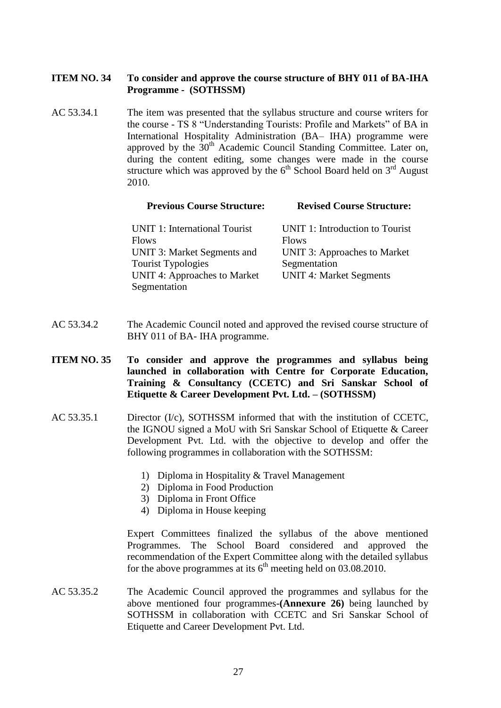# **ITEM NO. 34 To consider and approve the course structure of BHY 011 of BA-IHA Programme - (SOTHSSM)**

AC 53.34.1 The item was presented that the syllabus structure and course writers for the course - TS 8 "Understanding Tourists: Profile and Markets" of BA in International Hospitality Administration (BA– IHA) programme were approved by the  $30<sup>th</sup>$  Academic Council Standing Committee. Later on, during the content editing, some changes were made in the course structure which was approved by the  $6<sup>th</sup>$  School Board held on  $3<sup>rd</sup>$  August 2010.

| TTEVIOUS COUTSE SUFFICIUTE.          | Revised Course Structure.       |
|--------------------------------------|---------------------------------|
| <b>UNIT 1: International Tourist</b> | UNIT 1: Introduction to Tourist |
| <b>Flows</b>                         | <b>Flows</b>                    |
| UNIT 3: Market Segments and          | UNIT 3: Approaches to Market    |
| <b>Tourist Typologies</b>            | Segmentation                    |
| UNIT 4: Approaches to Market         | <b>UNIT 4: Market Segments</b>  |
| Segmentation                         |                                 |

**Previous Course Structure: Revised Course Structure:**

- AC 53.34.2 The Academic Council noted and approved the revised course structure of BHY 011 of BA- IHA programme.
- **ITEM NO. 35 To consider and approve the programmes and syllabus being launched in collaboration with Centre for Corporate Education, Training & Consultancy (CCETC) and Sri Sanskar School of Etiquette & Career Development Pvt. Ltd. – (SOTHSSM)**
- AC 53.35.1 Director (I/c), SOTHSSM informed that with the institution of CCETC, the IGNOU signed a MoU with Sri Sanskar School of Etiquette & Career Development Pvt. Ltd. with the objective to develop and offer the following programmes in collaboration with the SOTHSSM:
	- 1) Diploma in Hospitality & Travel Management
	- 2) Diploma in Food Production
	- 3) Diploma in Front Office
	- 4) Diploma in House keeping

Expert Committees finalized the syllabus of the above mentioned Programmes. The School Board considered and approved the recommendation of the Expert Committee along with the detailed syllabus for the above programmes at its  $6<sup>th</sup>$  meeting held on 03.08.2010.

AC 53.35.2 The Academic Council approved the programmes and syllabus for the above mentioned four programmes-**(Annexure 26)** being launched by SOTHSSM in collaboration with CCETC and Sri Sanskar School of Etiquette and Career Development Pvt. Ltd.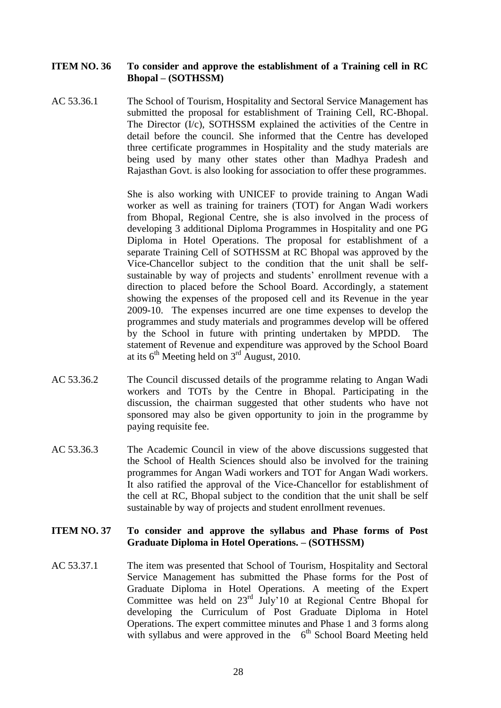#### **ITEM NO. 36 To consider and approve the establishment of a Training cell in RC Bhopal – (SOTHSSM)**

AC 53.36.1 The School of Tourism, Hospitality and Sectoral Service Management has submitted the proposal for establishment of Training Cell, RC-Bhopal. The Director (I/c), SOTHSSM explained the activities of the Centre in detail before the council. She informed that the Centre has developed three certificate programmes in Hospitality and the study materials are being used by many other states other than Madhya Pradesh and Rajasthan Govt. is also looking for association to offer these programmes.

> She is also working with UNICEF to provide training to Angan Wadi worker as well as training for trainers (TOT) for Angan Wadi workers from Bhopal, Regional Centre, she is also involved in the process of developing 3 additional Diploma Programmes in Hospitality and one PG Diploma in Hotel Operations. The proposal for establishment of a separate Training Cell of SOTHSSM at RC Bhopal was approved by the Vice-Chancellor subject to the condition that the unit shall be selfsustainable by way of projects and students' enrollment revenue with a direction to placed before the School Board. Accordingly, a statement showing the expenses of the proposed cell and its Revenue in the year 2009-10. The expenses incurred are one time expenses to develop the programmes and study materials and programmes develop will be offered by the School in future with printing undertaken by MPDD. The statement of Revenue and expenditure was approved by the School Board at its  $6^{th}$  Meeting held on  $3^{rd}$  August, 2010.

- AC 53.36.2 The Council discussed details of the programme relating to Angan Wadi workers and TOTs by the Centre in Bhopal. Participating in the discussion, the chairman suggested that other students who have not sponsored may also be given opportunity to join in the programme by paying requisite fee.
- AC 53.36.3 The Academic Council in view of the above discussions suggested that the School of Health Sciences should also be involved for the training programmes for Angan Wadi workers and TOT for Angan Wadi workers. It also ratified the approval of the Vice-Chancellor for establishment of the cell at RC, Bhopal subject to the condition that the unit shall be self sustainable by way of projects and student enrollment revenues.

#### **ITEM NO. 37 To consider and approve the syllabus and Phase forms of Post Graduate Diploma in Hotel Operations. – (SOTHSSM)**

AC 53.37.1 The item was presented that School of Tourism, Hospitality and Sectoral Service Management has submitted the Phase forms for the Post of Graduate Diploma in Hotel Operations. A meeting of the Expert Committee was held on 23rd July'10 at Regional Centre Bhopal for developing the Curriculum of Post Graduate Diploma in Hotel Operations. The expert committee minutes and Phase 1 and 3 forms along with syllabus and were approved in the  $6<sup>th</sup>$  School Board Meeting held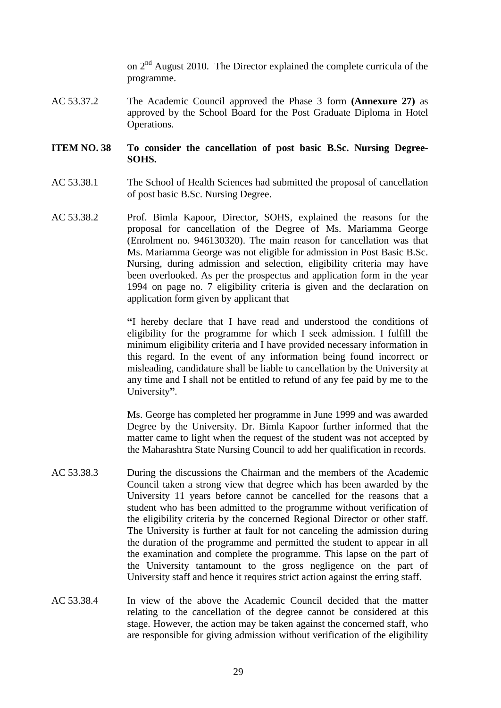on 2nd August 2010. The Director explained the complete curricula of the programme.

AC 53.37.2 The Academic Council approved the Phase 3 form **(Annexure 27)** as approved by the School Board for the Post Graduate Diploma in Hotel Operations.

#### **ITEM NO. 38 To consider the cancellation of post basic B.Sc. Nursing Degree-SOHS.**

- AC 53.38.1 The School of Health Sciences had submitted the proposal of cancellation of post basic B.Sc. Nursing Degree.
- AC 53.38.2 Prof. Bimla Kapoor, Director, SOHS, explained the reasons for the proposal for cancellation of the Degree of Ms. Mariamma George (Enrolment no. 946130320). The main reason for cancellation was that Ms. Mariamma George was not eligible for admission in Post Basic B.Sc. Nursing, during admission and selection, eligibility criteria may have been overlooked. As per the prospectus and application form in the year 1994 on page no. 7 eligibility criteria is given and the declaration on application form given by applicant that

**"**I hereby declare that I have read and understood the conditions of eligibility for the programme for which I seek admission. I fulfill the minimum eligibility criteria and I have provided necessary information in this regard. In the event of any information being found incorrect or misleading, candidature shall be liable to cancellation by the University at any time and I shall not be entitled to refund of any fee paid by me to the University**"**.

Ms. George has completed her programme in June 1999 and was awarded Degree by the University. Dr. Bimla Kapoor further informed that the matter came to light when the request of the student was not accepted by the Maharashtra State Nursing Council to add her qualification in records.

- AC 53.38.3 During the discussions the Chairman and the members of the Academic Council taken a strong view that degree which has been awarded by the University 11 years before cannot be cancelled for the reasons that a student who has been admitted to the programme without verification of the eligibility criteria by the concerned Regional Director or other staff. The University is further at fault for not canceling the admission during the duration of the programme and permitted the student to appear in all the examination and complete the programme. This lapse on the part of the University tantamount to the gross negligence on the part of University staff and hence it requires strict action against the erring staff.
- AC 53.38.4 In view of the above the Academic Council decided that the matter relating to the cancellation of the degree cannot be considered at this stage. However, the action may be taken against the concerned staff, who are responsible for giving admission without verification of the eligibility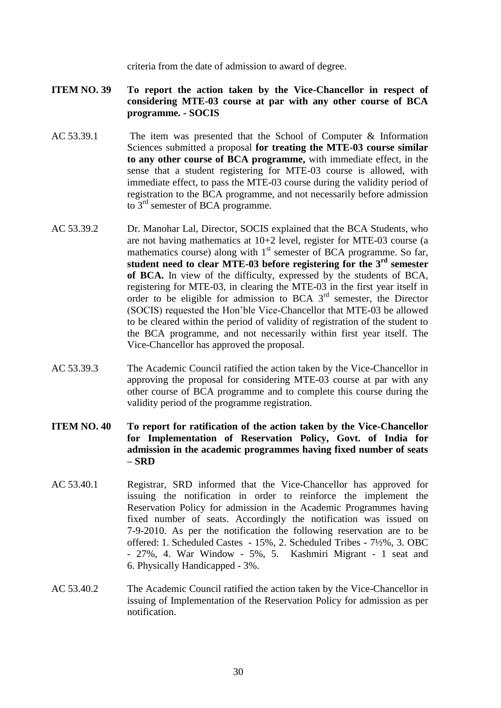criteria from the date of admission to award of degree.

- **ITEM NO. 39 To report the action taken by the Vice-Chancellor in respect of considering MTE-03 course at par with any other course of BCA programme. - SOCIS**
- AC 53.39.1 The item was presented that the School of Computer & Information Sciences submitted a proposal **for treating the MTE-03 course similar to any other course of BCA programme,** with immediate effect, in the sense that a student registering for MTE-03 course is allowed, with immediate effect, to pass the MTE-03 course during the validity period of registration to the BCA programme, and not necessarily before admission to 3<sup>rd</sup> semester of BCA programme.
- AC 53.39.2 Dr. Manohar Lal, Director, SOCIS explained that the BCA Students, who are not having mathematics at 10+2 level, register for MTE-03 course (a mathematics course) along with  $1<sup>st</sup>$  semester of BCA programme. So far, **student need to clear MTE-03 before registering for the 3rd semester of BCA.** In view of the difficulty, expressed by the students of BCA, registering for MTE-03, in clearing the MTE-03 in the first year itself in order to be eligible for admission to BCA  $3<sup>rd</sup>$  semester, the Director (SOCIS) requested the Hon'ble Vice-Chancellor that MTE-03 be allowed to be cleared within the period of validity of registration of the student to the BCA programme, and not necessarily within first year itself. The Vice-Chancellor has approved the proposal.
- AC 53.39.3 The Academic Council ratified the action taken by the Vice-Chancellor in approving the proposal for considering MTE-03 course at par with any other course of BCA programme and to complete this course during the validity period of the programme registration.
- **ITEM NO. 40 To report for ratification of the action taken by the Vice-Chancellor for Implementation of Reservation Policy, Govt. of India for admission in the academic programmes having fixed number of seats – SRD**
- AC 53.40.1 Registrar, SRD informed that the Vice-Chancellor has approved for issuing the notification in order to reinforce the implement the Reservation Policy for admission in the Academic Programmes having fixed number of seats. Accordingly the notification was issued on 7-9-2010. As per the notification the following reservation are to be offered: 1. Scheduled Castes - 15%, 2. Scheduled Tribes - 7½%, 3. OBC - 27%, 4. War Window - 5%, 5. Kashmiri Migrant - 1 seat and 6. Physically Handicapped - 3%.
- AC 53.40.2 The Academic Council ratified the action taken by the Vice-Chancellor in issuing of Implementation of the Reservation Policy for admission as per notification.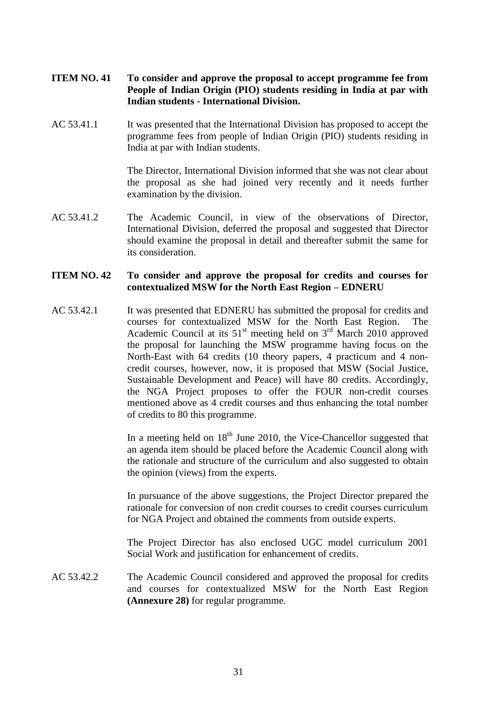- **ITEM NO. 41 To consider and approve the proposal to accept programme fee from People of Indian Origin (PIO) students residing in India at par with Indian students - International Division.**
- AC 53.41.1 It was presented that the International Division has proposed to accept the programme fees from people of Indian Origin (PIO) students residing in India at par with Indian students.

The Director, International Division informed that she was not clear about the proposal as she had joined very recently and it needs further examination by the division.

AC 53.41.2 The Academic Council, in view of the observations of Director, International Division, deferred the proposal and suggested that Director should examine the proposal in detail and thereafter submit the same for its consideration.

#### **ITEM NO. 42 To consider and approve the proposal for credits and courses for contextualized MSW for the North East Region – EDNERU**

AC 53.42.1 It was presented that EDNERU has submitted the proposal for credits and courses for contextualized MSW for the North East Region. The Academic Council at its  $51<sup>st</sup>$  meeting held on  $3<sup>rd</sup>$  March 2010 approved the proposal for launching the MSW programme having focus on the North-East with 64 credits (10 theory papers, 4 practicum and 4 noncredit courses, however, now, it is proposed that MSW (Social Justice, Sustainable Development and Peace) will have 80 credits. Accordingly, the NGA Project proposes to offer the FOUR non-credit courses mentioned above as 4 credit courses and thus enhancing the total number of credits to 80 this programme.

> In a meeting held on  $18<sup>th</sup>$  June 2010, the Vice-Chancellor suggested that an agenda item should be placed before the Academic Council along with the rationale and structure of the curriculum and also suggested to obtain the opinion (views) from the experts.

> In pursuance of the above suggestions, the Project Director prepared the rationale for conversion of non credit courses to credit courses curriculum for NGA Project and obtained the comments from outside experts.

> The Project Director has also enclosed UGC model curriculum 2001 Social Work and justification for enhancement of credits.

AC 53.42.2 The Academic Council considered and approved the proposal for credits and courses for contextualized MSW for the North East Region **(Annexure 28)** for regular programme.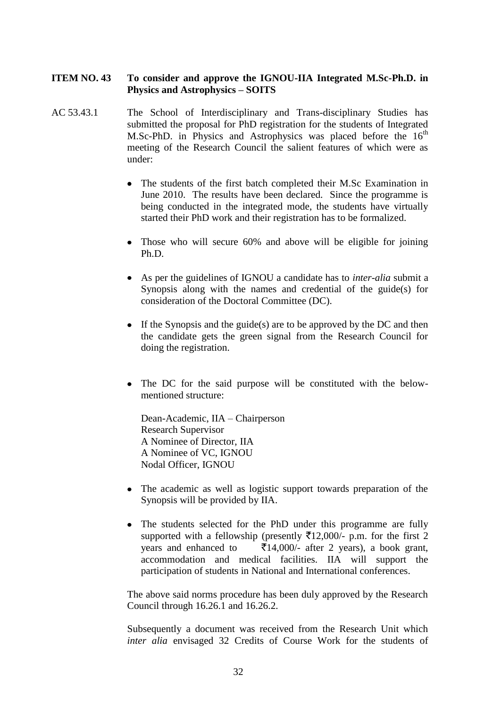# **ITEM NO. 43 To consider and approve the IGNOU-IIA Integrated M.Sc-Ph.D. in Physics and Astrophysics – SOITS**

- AC 53.43.1 The School of Interdisciplinary and Trans-disciplinary Studies has submitted the proposal for PhD registration for the students of Integrated M.Sc-PhD. in Physics and Astrophysics was placed before the  $16<sup>th</sup>$ meeting of the Research Council the salient features of which were as under:
	- The students of the first batch completed their M.Sc Examination in June 2010. The results have been declared. Since the programme is being conducted in the integrated mode, the students have virtually started their PhD work and their registration has to be formalized.
	- Those who will secure 60% and above will be eligible for joining Ph.D.
	- As per the guidelines of IGNOU a candidate has to *inter-alia* submit a Synopsis along with the names and credential of the guide(s) for consideration of the Doctoral Committee (DC).
	- $\bullet$  If the Synopsis and the guide(s) are to be approved by the DC and then the candidate gets the green signal from the Research Council for doing the registration.
	- The DC for the said purpose will be constituted with the belowmentioned structure:

Dean-Academic, IIA – Chairperson Research Supervisor A Nominee of Director, IIA A Nominee of VC, IGNOU Nodal Officer, IGNOU

- The academic as well as logistic support towards preparation of the Synopsis will be provided by IIA.
- The students selected for the PhD under this programme are fully supported with a fellowship (presently  $\bar{\tau}$ 12,000/- p.m. for the first 2 years and enhanced to  $\bar{\bar{\xi}}$ 14,000/- after 2 years), a book grant, accommodation and medical facilities. IIA will support the participation of students in National and International conferences.

The above said norms procedure has been duly approved by the Research Council through 16.26.1 and 16.26.2.

Subsequently a document was received from the Research Unit which *inter alia* envisaged 32 Credits of Course Work for the students of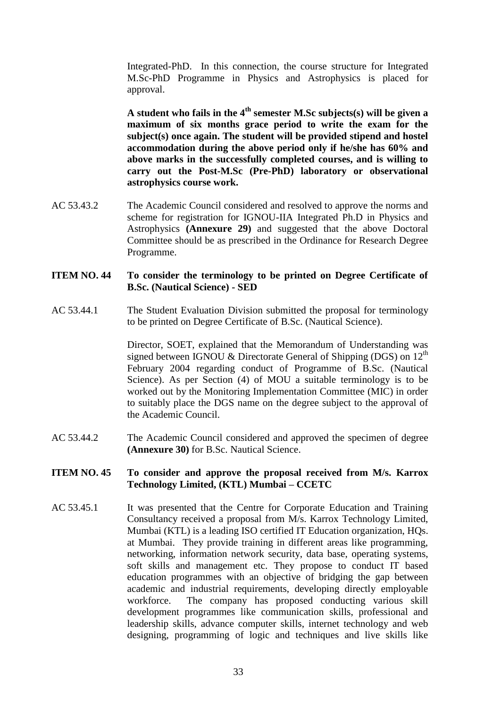Integrated-PhD. In this connection, the course structure for Integrated M.Sc-PhD Programme in Physics and Astrophysics is placed for approval.

**A student who fails in the 4th semester M.Sc subjects(s) will be given a maximum of six months grace period to write the exam for the subject(s) once again. The student will be provided stipend and hostel accommodation during the above period only if he/she has 60% and above marks in the successfully completed courses, and is willing to carry out the Post-M.Sc (Pre-PhD) laboratory or observational astrophysics course work.**

AC 53.43.2 The Academic Council considered and resolved to approve the norms and scheme for registration for IGNOU-IIA Integrated Ph.D in Physics and Astrophysics **(Annexure 29)** and suggested that the above Doctoral Committee should be as prescribed in the Ordinance for Research Degree Programme.

# **ITEM NO. 44 To consider the terminology to be printed on Degree Certificate of B.Sc. (Nautical Science) - SED**

AC 53.44.1 The Student Evaluation Division submitted the proposal for terminology to be printed on Degree Certificate of B.Sc. (Nautical Science).

> Director, SOET, explained that the Memorandum of Understanding was signed between IGNOU & Directorate General of Shipping (DGS) on  $12<sup>th</sup>$ February 2004 regarding conduct of Programme of B.Sc. (Nautical Science). As per Section (4) of MOU a suitable terminology is to be worked out by the Monitoring Implementation Committee (MIC) in order to suitably place the DGS name on the degree subject to the approval of the Academic Council.

AC 53.44.2 The Academic Council considered and approved the specimen of degree **(Annexure 30)** for B.Sc. Nautical Science.

#### **ITEM NO. 45 To consider and approve the proposal received from M/s. Karrox Technology Limited, (KTL) Mumbai – CCETC**

AC 53.45.1 It was presented that the Centre for Corporate Education and Training Consultancy received a proposal from M/s. Karrox Technology Limited, Mumbai (KTL) is a leading ISO certified IT Education organization, HQs. at Mumbai. They provide training in different areas like programming, networking, information network security, data base, operating systems, soft skills and management etc. They propose to conduct IT based education programmes with an objective of bridging the gap between academic and industrial requirements, developing directly employable workforce. The company has proposed conducting various skill development programmes like communication skills, professional and leadership skills, advance computer skills, internet technology and web designing, programming of logic and techniques and live skills like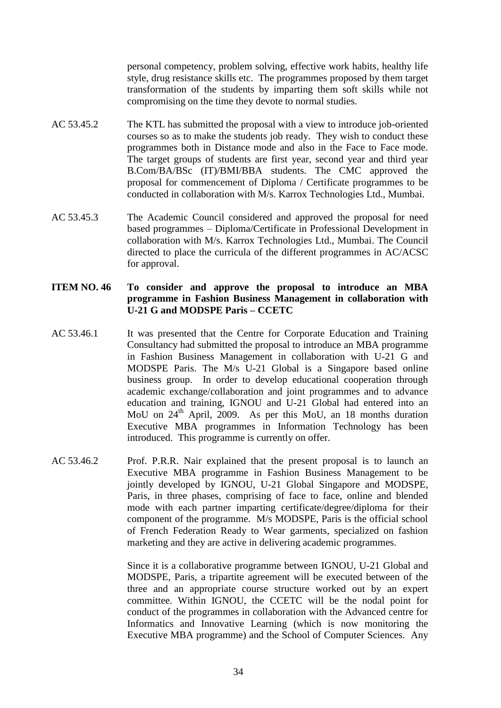personal competency, problem solving, effective work habits, healthy life style, drug resistance skills etc. The programmes proposed by them target transformation of the students by imparting them soft skills while not compromising on the time they devote to normal studies.

- AC 53.45.2 The KTL has submitted the proposal with a view to introduce job-oriented courses so as to make the students job ready. They wish to conduct these programmes both in Distance mode and also in the Face to Face mode. The target groups of students are first year, second year and third year B.Com/BA/BSc (IT)/BMI/BBA students. The CMC approved the proposal for commencement of Diploma / Certificate programmes to be conducted in collaboration with M/s. Karrox Technologies Ltd., Mumbai.
- AC 53.45.3 The Academic Council considered and approved the proposal for need based programmes – Diploma/Certificate in Professional Development in collaboration with M/s. Karrox Technologies Ltd., Mumbai. The Council directed to place the curricula of the different programmes in AC/ACSC for approval.

# **ITEM NO. 46 To consider and approve the proposal to introduce an MBA programme in Fashion Business Management in collaboration with U-21 G and MODSPE Paris – CCETC**

- AC 53.46.1 It was presented that the Centre for Corporate Education and Training Consultancy had submitted the proposal to introduce an MBA programme in Fashion Business Management in collaboration with U-21 G and MODSPE Paris. The M/s U-21 Global is a Singapore based online business group. In order to develop educational cooperation through academic exchange/collaboration and joint programmes and to advance education and training, IGNOU and U-21 Global had entered into an MoU on 24<sup>th</sup> April, 2009. As per this MoU, an 18 months duration Executive MBA programmes in Information Technology has been introduced. This programme is currently on offer.
- AC 53.46.2 Prof. P.R.R. Nair explained that the present proposal is to launch an Executive MBA programme in Fashion Business Management to be jointly developed by IGNOU, U-21 Global Singapore and MODSPE, Paris, in three phases, comprising of face to face, online and blended mode with each partner imparting certificate/degree/diploma for their component of the programme. M/s MODSPE, Paris is the official school of French Federation Ready to Wear garments, specialized on fashion marketing and they are active in delivering academic programmes.

Since it is a collaborative programme between IGNOU, U-21 Global and MODSPE, Paris, a tripartite agreement will be executed between of the three and an appropriate course structure worked out by an expert committee. Within IGNOU, the CCETC will be the nodal point for conduct of the programmes in collaboration with the Advanced centre for Informatics and Innovative Learning (which is now monitoring the Executive MBA programme) and the School of Computer Sciences. Any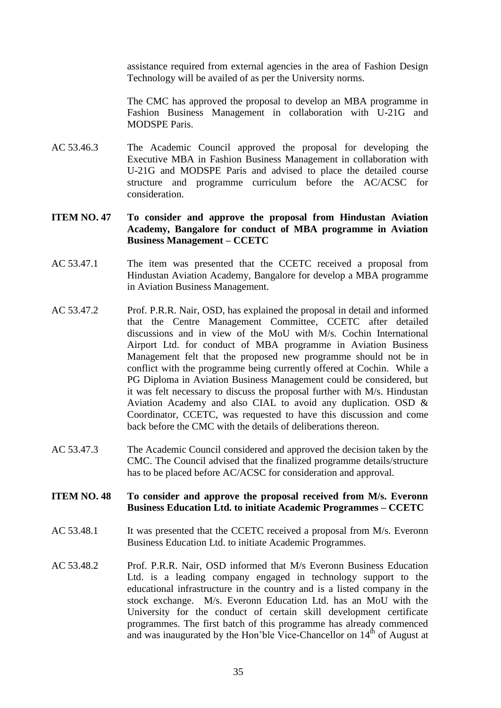assistance required from external agencies in the area of Fashion Design Technology will be availed of as per the University norms.

The CMC has approved the proposal to develop an MBA programme in Fashion Business Management in collaboration with U-21G and MODSPE Paris.

AC 53.46.3 The Academic Council approved the proposal for developing the Executive MBA in Fashion Business Management in collaboration with U-21G and MODSPE Paris and advised to place the detailed course structure and programme curriculum before the AC/ACSC for consideration.

### **ITEM NO. 47 To consider and approve the proposal from Hindustan Aviation Academy, Bangalore for conduct of MBA programme in Aviation Business Management – CCETC**

- AC 53.47.1 The item was presented that the CCETC received a proposal from Hindustan Aviation Academy, Bangalore for develop a MBA programme in Aviation Business Management.
- AC 53.47.2 Prof. P.R.R. Nair, OSD, has explained the proposal in detail and informed that the Centre Management Committee, CCETC after detailed discussions and in view of the MoU with M/s. Cochin International Airport Ltd. for conduct of MBA programme in Aviation Business Management felt that the proposed new programme should not be in conflict with the programme being currently offered at Cochin. While a PG Diploma in Aviation Business Management could be considered, but it was felt necessary to discuss the proposal further with M/s. Hindustan Aviation Academy and also CIAL to avoid any duplication. OSD & Coordinator, CCETC, was requested to have this discussion and come back before the CMC with the details of deliberations thereon.
- AC 53.47.3 The Academic Council considered and approved the decision taken by the CMC. The Council advised that the finalized programme details/structure has to be placed before AC/ACSC for consideration and approval.
- **ITEM NO. 48 To consider and approve the proposal received from M/s. Everonn Business Education Ltd. to initiate Academic Programmes – CCETC**
- AC 53.48.1 It was presented that the CCETC received a proposal from M/s. Everonn Business Education Ltd. to initiate Academic Programmes.
- AC 53.48.2 Prof. P.R.R. Nair, OSD informed that M/s Everonn Business Education Ltd. is a leading company engaged in technology support to the educational infrastructure in the country and is a listed company in the stock exchange. M/s. Everonn Education Ltd. has an MoU with the University for the conduct of certain skill development certificate programmes. The first batch of this programme has already commenced and was inaugurated by the Hon'ble Vice-Chancellor on  $14<sup>th</sup>$  of August at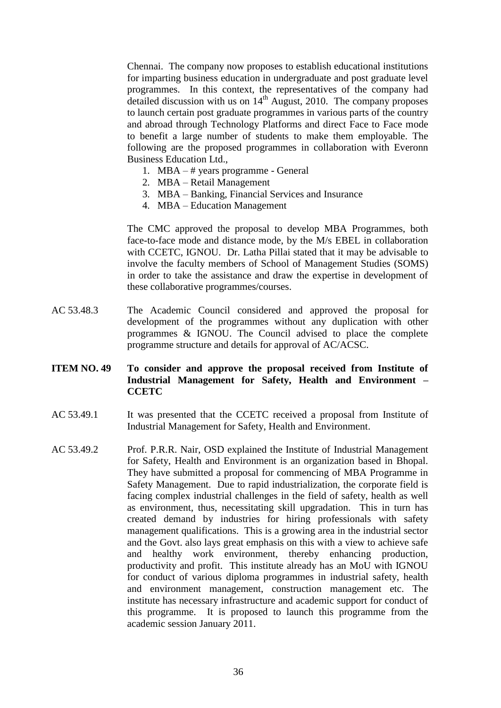Chennai. The company now proposes to establish educational institutions for imparting business education in undergraduate and post graduate level programmes. In this context, the representatives of the company had detailed discussion with us on  $14<sup>th</sup>$  August, 2010. The company proposes to launch certain post graduate programmes in various parts of the country and abroad through Technology Platforms and direct Face to Face mode to benefit a large number of students to make them employable. The following are the proposed programmes in collaboration with Everonn Business Education Ltd.,

- 1. MBA # years programme General
- 2. MBA Retail Management
- 3. MBA Banking, Financial Services and Insurance
- 4. MBA Education Management

The CMC approved the proposal to develop MBA Programmes, both face-to-face mode and distance mode, by the M/s EBEL in collaboration with CCETC, IGNOU. Dr. Latha Pillai stated that it may be advisable to involve the faculty members of School of Management Studies (SOMS) in order to take the assistance and draw the expertise in development of these collaborative programmes/courses.

AC 53.48.3 The Academic Council considered and approved the proposal for development of the programmes without any duplication with other programmes & IGNOU. The Council advised to place the complete programme structure and details for approval of AC/ACSC.

### **ITEM NO. 49 To consider and approve the proposal received from Institute of Industrial Management for Safety, Health and Environment – CCETC**

- AC 53.49.1 It was presented that the CCETC received a proposal from Institute of Industrial Management for Safety, Health and Environment.
- AC 53.49.2 Prof. P.R.R. Nair, OSD explained the Institute of Industrial Management for Safety, Health and Environment is an organization based in Bhopal. They have submitted a proposal for commencing of MBA Programme in Safety Management. Due to rapid industrialization, the corporate field is facing complex industrial challenges in the field of safety, health as well as environment, thus, necessitating skill upgradation. This in turn has created demand by industries for hiring professionals with safety management qualifications. This is a growing area in the industrial sector and the Govt. also lays great emphasis on this with a view to achieve safe and healthy work environment, thereby enhancing production, productivity and profit. This institute already has an MoU with IGNOU for conduct of various diploma programmes in industrial safety, health and environment management, construction management etc. The institute has necessary infrastructure and academic support for conduct of this programme. It is proposed to launch this programme from the academic session January 2011.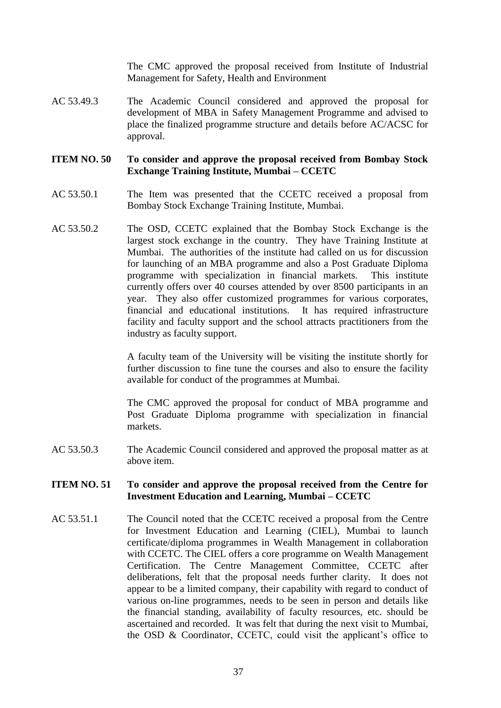The CMC approved the proposal received from Institute of Industrial Management for Safety, Health and Environment

AC 53.49.3 The Academic Council considered and approved the proposal for development of MBA in Safety Management Programme and advised to place the finalized programme structure and details before AC/ACSC for approval.

# **ITEM NO. 50 To consider and approve the proposal received from Bombay Stock Exchange Training Institute, Mumbai – CCETC**

- AC 53.50.1 The Item was presented that the CCETC received a proposal from Bombay Stock Exchange Training Institute, Mumbai.
- AC 53.50.2 The OSD, CCETC explained that the Bombay Stock Exchange is the largest stock exchange in the country. They have Training Institute at Mumbai. The authorities of the institute had called on us for discussion for launching of an MBA programme and also a Post Graduate Diploma programme with specialization in financial markets. This institute currently offers over 40 courses attended by over 8500 participants in an year. They also offer customized programmes for various corporates, financial and educational institutions. It has required infrastructure facility and faculty support and the school attracts practitioners from the industry as faculty support.

A faculty team of the University will be visiting the institute shortly for further discussion to fine tune the courses and also to ensure the facility available for conduct of the programmes at Mumbai.

The CMC approved the proposal for conduct of MBA programme and Post Graduate Diploma programme with specialization in financial markets.

AC 53.50.3 The Academic Council considered and approved the proposal matter as at above item.

#### **ITEM NO. 51 To consider and approve the proposal received from the Centre for Investment Education and Learning, Mumbai – CCETC**

AC 53.51.1 The Council noted that the CCETC received a proposal from the Centre for Investment Education and Learning (CIEL), Mumbai to launch certificate/diploma programmes in Wealth Management in collaboration with CCETC. The CIEL offers a core programme on Wealth Management Certification. The Centre Management Committee, CCETC after deliberations, felt that the proposal needs further clarity. It does not appear to be a limited company, their capability with regard to conduct of various on-line programmes, needs to be seen in person and details like the financial standing, availability of faculty resources, etc. should be ascertained and recorded. It was felt that during the next visit to Mumbai, the OSD & Coordinator, CCETC, could visit the applicant's office to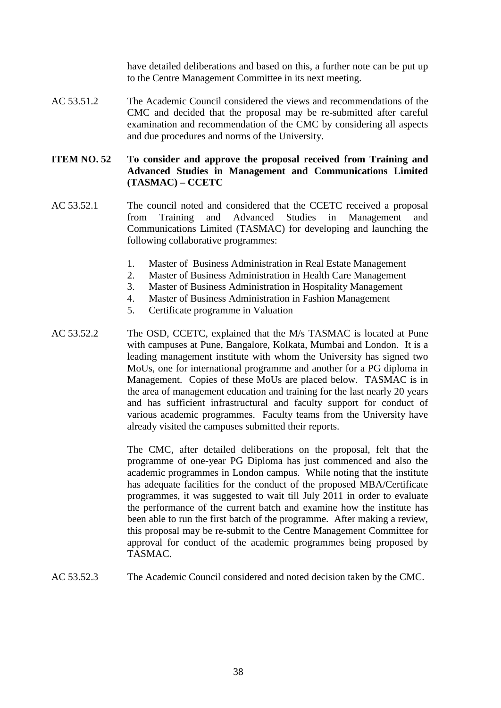have detailed deliberations and based on this, a further note can be put up to the Centre Management Committee in its next meeting.

AC 53.51.2 The Academic Council considered the views and recommendations of the CMC and decided that the proposal may be re-submitted after careful examination and recommendation of the CMC by considering all aspects and due procedures and norms of the University.

# **ITEM NO. 52 To consider and approve the proposal received from Training and Advanced Studies in Management and Communications Limited (TASMAC) – CCETC**

- AC 53.52.1 The council noted and considered that the CCETC received a proposal from Training and Advanced Studies in Management and Communications Limited (TASMAC) for developing and launching the following collaborative programmes:
	- 1. Master of Business Administration in Real Estate Management
	- 2. Master of Business Administration in Health Care Management
	- 3. Master of Business Administration in Hospitality Management
	- 4. Master of Business Administration in Fashion Management
	- 5. Certificate programme in Valuation
- AC 53.52.2 The OSD, CCETC, explained that the M/s TASMAC is located at Pune with campuses at Pune, Bangalore, Kolkata, Mumbai and London. It is a leading management institute with whom the University has signed two MoUs, one for international programme and another for a PG diploma in Management. Copies of these MoUs are placed below. TASMAC is in the area of management education and training for the last nearly 20 years and has sufficient infrastructural and faculty support for conduct of various academic programmes. Faculty teams from the University have already visited the campuses submitted their reports.

The CMC, after detailed deliberations on the proposal, felt that the programme of one-year PG Diploma has just commenced and also the academic programmes in London campus. While noting that the institute has adequate facilities for the conduct of the proposed MBA/Certificate programmes, it was suggested to wait till July 2011 in order to evaluate the performance of the current batch and examine how the institute has been able to run the first batch of the programme. After making a review, this proposal may be re-submit to the Centre Management Committee for approval for conduct of the academic programmes being proposed by TASMAC.

AC 53.52.3 The Academic Council considered and noted decision taken by the CMC.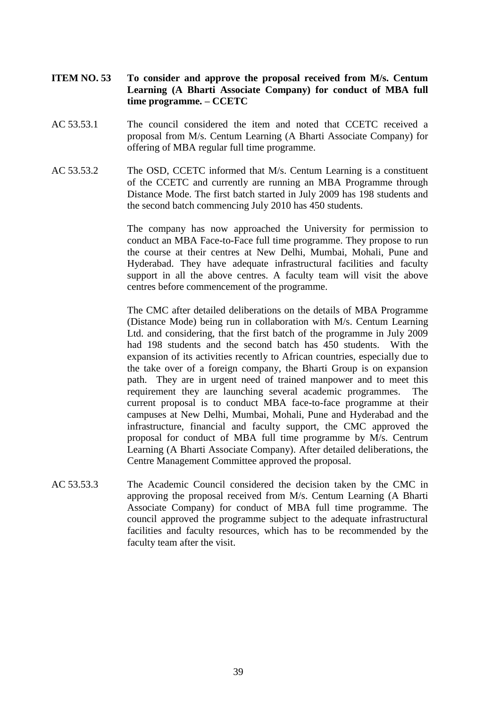- **ITEM NO. 53 To consider and approve the proposal received from M/s. Centum Learning (A Bharti Associate Company) for conduct of MBA full time programme. – CCETC**
- AC 53.53.1 The council considered the item and noted that CCETC received a proposal from M/s. Centum Learning (A Bharti Associate Company) for offering of MBA regular full time programme.
- AC 53.53.2 The OSD, CCETC informed that M/s. Centum Learning is a constituent of the CCETC and currently are running an MBA Programme through Distance Mode. The first batch started in July 2009 has 198 students and the second batch commencing July 2010 has 450 students.

The company has now approached the University for permission to conduct an MBA Face-to-Face full time programme. They propose to run the course at their centres at New Delhi, Mumbai, Mohali, Pune and Hyderabad. They have adequate infrastructural facilities and faculty support in all the above centres. A faculty team will visit the above centres before commencement of the programme.

The CMC after detailed deliberations on the details of MBA Programme (Distance Mode) being run in collaboration with M/s. Centum Learning Ltd. and considering, that the first batch of the programme in July 2009 had 198 students and the second batch has 450 students. With the expansion of its activities recently to African countries, especially due to the take over of a foreign company, the Bharti Group is on expansion path. They are in urgent need of trained manpower and to meet this requirement they are launching several academic programmes. The current proposal is to conduct MBA face-to-face programme at their campuses at New Delhi, Mumbai, Mohali, Pune and Hyderabad and the infrastructure, financial and faculty support, the CMC approved the proposal for conduct of MBA full time programme by M/s. Centrum Learning (A Bharti Associate Company). After detailed deliberations, the Centre Management Committee approved the proposal.

AC 53.53.3 The Academic Council considered the decision taken by the CMC in approving the proposal received from M/s. Centum Learning (A Bharti Associate Company) for conduct of MBA full time programme. The council approved the programme subject to the adequate infrastructural facilities and faculty resources, which has to be recommended by the faculty team after the visit.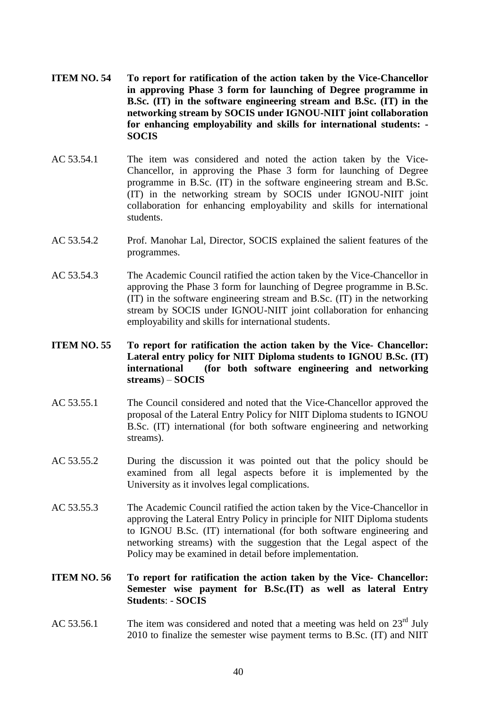- **ITEM NO. 54 To report for ratification of the action taken by the Vice-Chancellor in approving Phase 3 form for launching of Degree programme in B.Sc. (IT) in the software engineering stream and B.Sc. (IT) in the networking stream by SOCIS under IGNOU-NIIT joint collaboration for enhancing employability and skills for international students: - SOCIS**
- AC 53.54.1 The item was considered and noted the action taken by the Vice-Chancellor, in approving the Phase 3 form for launching of Degree programme in B.Sc. (IT) in the software engineering stream and B.Sc. (IT) in the networking stream by SOCIS under IGNOU-NIIT joint collaboration for enhancing employability and skills for international students.
- AC 53.54.2 Prof. Manohar Lal, Director, SOCIS explained the salient features of the programmes.
- AC 53.54.3 The Academic Council ratified the action taken by the Vice-Chancellor in approving the Phase 3 form for launching of Degree programme in B.Sc. (IT) in the software engineering stream and B.Sc. (IT) in the networking stream by SOCIS under IGNOU-NIIT joint collaboration for enhancing employability and skills for international students.

# **ITEM NO. 55 To report for ratification the action taken by the Vice- Chancellor: Lateral entry policy for NIIT Diploma students to IGNOU B.Sc. (IT) international (for both software engineering and networking streams**) – **SOCIS**

- AC 53.55.1 The Council considered and noted that the Vice-Chancellor approved the proposal of the Lateral Entry Policy for NIIT Diploma students to IGNOU B.Sc. (IT) international (for both software engineering and networking streams).
- AC 53.55.2 During the discussion it was pointed out that the policy should be examined from all legal aspects before it is implemented by the University as it involves legal complications.
- AC 53.55.3 The Academic Council ratified the action taken by the Vice-Chancellor in approving the Lateral Entry Policy in principle for NIIT Diploma students to IGNOU B.Sc. (IT) international (for both software engineering and networking streams) with the suggestion that the Legal aspect of the Policy may be examined in detail before implementation.

# **ITEM NO. 56 To report for ratification the action taken by the Vice- Chancellor: Semester wise payment for B.Sc.(IT) as well as lateral Entry Students**: - **SOCIS**

AC 53.56.1 The item was considered and noted that a meeting was held on  $23^{\text{rd}}$  July 2010 to finalize the semester wise payment terms to B.Sc. (IT) and NIIT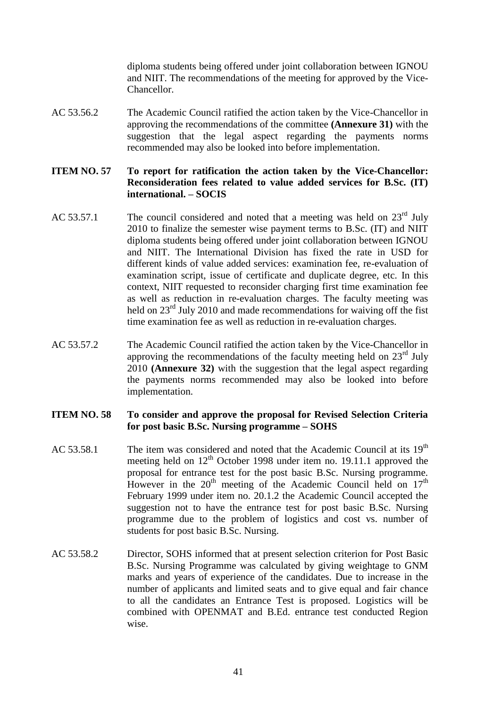diploma students being offered under joint collaboration between IGNOU and NIIT. The recommendations of the meeting for approved by the Vice-Chancellor.

AC 53.56.2 The Academic Council ratified the action taken by the Vice-Chancellor in approving the recommendations of the committee **(Annexure 31)** with the suggestion that the legal aspect regarding the payments norms recommended may also be looked into before implementation.

#### **ITEM NO. 57 To report for ratification the action taken by the Vice-Chancellor: Reconsideration fees related to value added services for B.Sc. (IT) international. – SOCIS**

- AC 53.57.1 The council considered and noted that a meeting was held on  $23<sup>rd</sup>$  July 2010 to finalize the semester wise payment terms to B.Sc. (IT) and NIIT diploma students being offered under joint collaboration between IGNOU and NIIT. The International Division has fixed the rate in USD for different kinds of value added services: examination fee, re-evaluation of examination script, issue of certificate and duplicate degree, etc. In this context, NIIT requested to reconsider charging first time examination fee as well as reduction in re-evaluation charges. The faculty meeting was held on 23<sup>rd</sup> July 2010 and made recommendations for waiving off the fist time examination fee as well as reduction in re-evaluation charges.
- AC 53.57.2 The Academic Council ratified the action taken by the Vice-Chancellor in approving the recommendations of the faculty meeting held on  $23<sup>rd</sup>$  July 2010 **(Annexure 32)** with the suggestion that the legal aspect regarding the payments norms recommended may also be looked into before implementation.

# **ITEM NO. 58 To consider and approve the proposal for Revised Selection Criteria for post basic B.Sc. Nursing programme – SOHS**

- AC 53.58.1 The item was considered and noted that the Academic Council at its  $19<sup>th</sup>$ meeting held on  $12<sup>th</sup>$  October 1998 under item no. 19.11.1 approved the proposal for entrance test for the post basic B.Sc. Nursing programme. However in the  $20<sup>th</sup>$  meeting of the Academic Council held on  $17<sup>th</sup>$ February 1999 under item no. 20.1.2 the Academic Council accepted the suggestion not to have the entrance test for post basic B.Sc. Nursing programme due to the problem of logistics and cost vs. number of students for post basic B.Sc. Nursing.
- AC 53.58.2 Director, SOHS informed that at present selection criterion for Post Basic B.Sc. Nursing Programme was calculated by giving weightage to GNM marks and years of experience of the candidates. Due to increase in the number of applicants and limited seats and to give equal and fair chance to all the candidates an Entrance Test is proposed. Logistics will be combined with OPENMAT and B.Ed. entrance test conducted Region wise.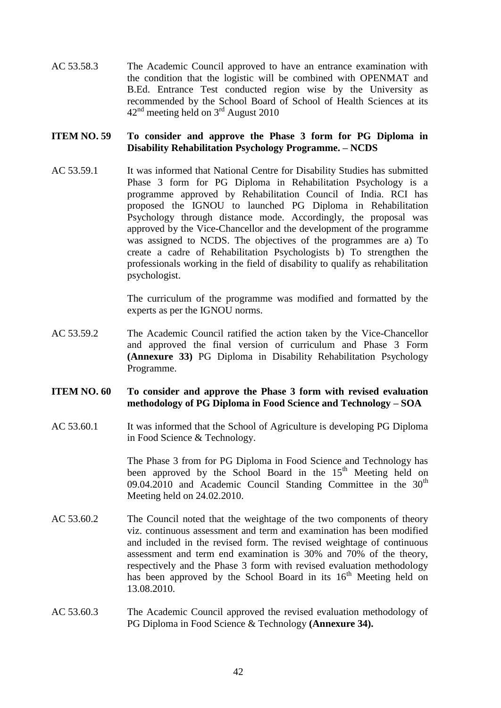AC 53.58.3 The Academic Council approved to have an entrance examination with the condition that the logistic will be combined with OPENMAT and B.Ed. Entrance Test conducted region wise by the University as recommended by the School Board of School of Health Sciences at its  $42<sup>nd</sup>$  meeting held on  $3<sup>rd</sup>$  August 2010

#### **ITEM NO. 59 To consider and approve the Phase 3 form for PG Diploma in Disability Rehabilitation Psychology Programme. – NCDS**

AC 53.59.1 It was informed that National Centre for Disability Studies has submitted Phase 3 form for PG Diploma in Rehabilitation Psychology is a programme approved by Rehabilitation Council of India. RCI has proposed the IGNOU to launched PG Diploma in Rehabilitation Psychology through distance mode. Accordingly, the proposal was approved by the Vice-Chancellor and the development of the programme was assigned to NCDS. The objectives of the programmes are a) To create a cadre of Rehabilitation Psychologists b) To strengthen the professionals working in the field of disability to qualify as rehabilitation psychologist.

> The curriculum of the programme was modified and formatted by the experts as per the IGNOU norms.

AC 53.59.2 The Academic Council ratified the action taken by the Vice-Chancellor and approved the final version of curriculum and Phase 3 Form **(Annexure 33)** PG Diploma in Disability Rehabilitation Psychology Programme.

#### **ITEM NO. 60 To consider and approve the Phase 3 form with revised evaluation methodology of PG Diploma in Food Science and Technology – SOA**

AC 53.60.1 It was informed that the School of Agriculture is developing PG Diploma in Food Science & Technology.

> The Phase 3 from for PG Diploma in Food Science and Technology has been approved by the School Board in the 15<sup>th</sup> Meeting held on 09.04.2010 and Academic Council Standing Committee in the  $30<sup>th</sup>$ Meeting held on 24.02.2010.

- AC 53.60.2 The Council noted that the weightage of the two components of theory viz. continuous assessment and term and examination has been modified and included in the revised form. The revised weightage of continuous assessment and term end examination is 30% and 70% of the theory, respectively and the Phase 3 form with revised evaluation methodology has been approved by the School Board in its  $16<sup>th</sup>$  Meeting held on 13.08.2010.
- AC 53.60.3 The Academic Council approved the revised evaluation methodology of PG Diploma in Food Science & Technology **(Annexure 34).**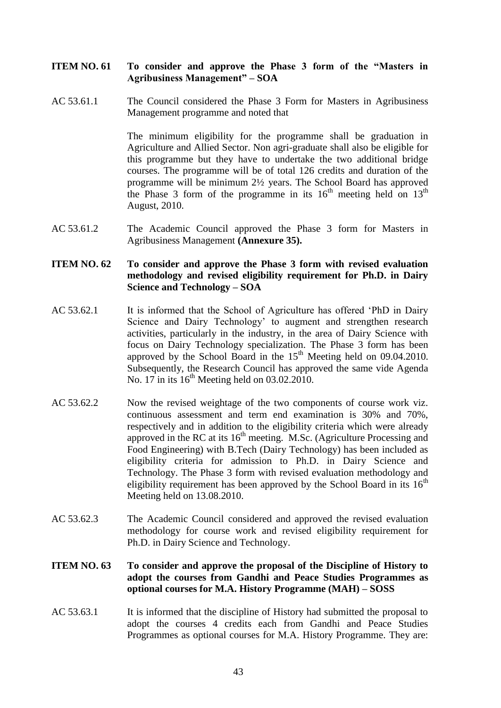# **ITEM NO. 61 To consider and approve the Phase 3 form of the "Masters in Agribusiness Management" – SOA**

AC 53.61.1 The Council considered the Phase 3 Form for Masters in Agribusiness Management programme and noted that

> The minimum eligibility for the programme shall be graduation in Agriculture and Allied Sector. Non agri-graduate shall also be eligible for this programme but they have to undertake the two additional bridge courses. The programme will be of total 126 credits and duration of the programme will be minimum 2½ years. The School Board has approved the Phase 3 form of the programme in its  $16<sup>th</sup>$  meeting held on  $13<sup>th</sup>$ August, 2010.

AC 53.61.2 The Academic Council approved the Phase 3 form for Masters in Agribusiness Management **(Annexure 35).**

### **ITEM NO. 62 To consider and approve the Phase 3 form with revised evaluation methodology and revised eligibility requirement for Ph.D. in Dairy Science and Technology – SOA**

- AC 53.62.1 It is informed that the School of Agriculture has offered 'PhD in Dairy Science and Dairy Technology' to augment and strengthen research activities, particularly in the industry, in the area of Dairy Science with focus on Dairy Technology specialization. The Phase 3 form has been approved by the School Board in the  $15<sup>th</sup>$  Meeting held on 09.04.2010. Subsequently, the Research Council has approved the same vide Agenda No. 17 in its  $16<sup>th</sup>$  Meeting held on 03.02.2010.
- AC 53.62.2 Now the revised weightage of the two components of course work viz. continuous assessment and term end examination is 30% and 70%, respectively and in addition to the eligibility criteria which were already approved in the RC at its  $16<sup>th</sup>$  meeting. M.Sc. (Agriculture Processing and Food Engineering) with B.Tech (Dairy Technology) has been included as eligibility criteria for admission to Ph.D. in Dairy Science and Technology. The Phase 3 form with revised evaluation methodology and eligibility requirement has been approved by the School Board in its  $16<sup>th</sup>$ Meeting held on 13.08.2010.
- AC 53.62.3 The Academic Council considered and approved the revised evaluation methodology for course work and revised eligibility requirement for Ph.D. in Dairy Science and Technology.

# **ITEM NO. 63 To consider and approve the proposal of the Discipline of History to adopt the courses from Gandhi and Peace Studies Programmes as optional courses for M.A. History Programme (MAH) – SOSS**

AC 53.63.1 It is informed that the discipline of History had submitted the proposal to adopt the courses 4 credits each from Gandhi and Peace Studies Programmes as optional courses for M.A. History Programme. They are: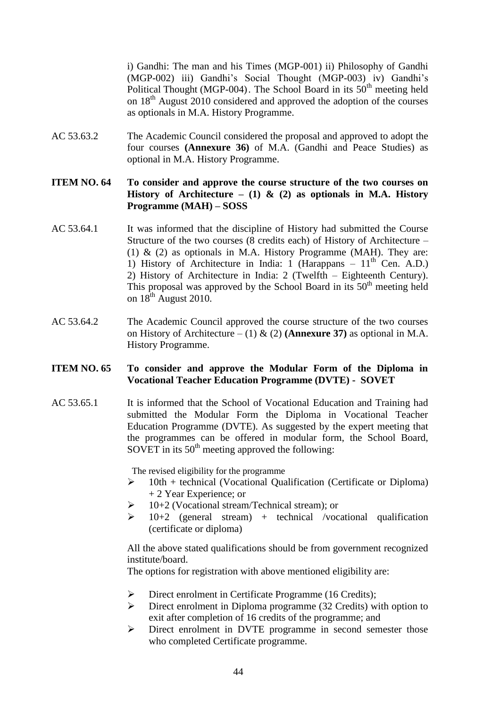i) Gandhi: The man and his Times (MGP-001) ii) Philosophy of Gandhi (MGP-002) iii) Gandhi's Social Thought (MGP-003) iv) Gandhi's Political Thought (MGP-004). The School Board in its  $50<sup>th</sup>$  meeting held on 18th August 2010 considered and approved the adoption of the courses as optionals in M.A. History Programme.

AC 53.63.2 The Academic Council considered the proposal and approved to adopt the four courses **(Annexure 36)** of M.A. (Gandhi and Peace Studies) as optional in M.A. History Programme.

# **ITEM NO. 64 To consider and approve the course structure of the two courses on History of Architecture – (1) & (2) as optionals in M.A. History Programme (MAH) – SOSS**

- AC 53.64.1 It was informed that the discipline of History had submitted the Course Structure of the two courses (8 credits each) of History of Architecture – (1)  $\&$  (2) as optionals in M.A. History Programme (MAH). They are: 1) History of Architecture in India: 1 (Harappans –  $11<sup>th</sup>$  Cen. A.D.) 2) History of Architecture in India: 2 (Twelfth – Eighteenth Century). This proposal was approved by the School Board in its  $50<sup>th</sup>$  meeting held on  $18^{th}$  August 2010.
- AC 53.64.2 The Academic Council approved the course structure of the two courses on History of Architecture – (1)  $\&$  (2) (**Annexure 37**) as optional in M.A. History Programme.

#### **ITEM NO. 65 To consider and approve the Modular Form of the Diploma in Vocational Teacher Education Programme (DVTE) - SOVET**

AC 53.65.1 It is informed that the School of Vocational Education and Training had submitted the Modular Form the Diploma in Vocational Teacher Education Programme (DVTE). As suggested by the expert meeting that the programmes can be offered in modular form, the School Board, SOVET in its  $50<sup>th</sup>$  meeting approved the following:

The revised eligibility for the programme

- $\triangleright$  10th + technical (Vocational Qualification (Certificate or Diploma) + 2 Year Experience; or
- $\geq 10+2$  (Vocational stream/Technical stream); or
- $\geq$  10+2 (general stream) + technical /vocational qualification (certificate or diploma)

All the above stated qualifications should be from government recognized institute/board.

The options for registration with above mentioned eligibility are:

- $\triangleright$  Direct enrolment in Certificate Programme (16 Credits);
- $\triangleright$  Direct enrolment in Diploma programme (32 Credits) with option to exit after completion of 16 credits of the programme; and
- Direct enrolment in DVTE programme in second semester those who completed Certificate programme.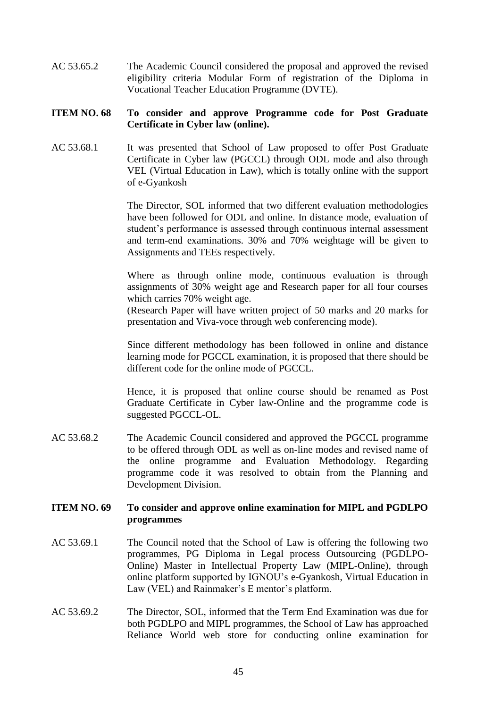AC 53.65.2 The Academic Council considered the proposal and approved the revised eligibility criteria Modular Form of registration of the Diploma in Vocational Teacher Education Programme (DVTE).

# **ITEM NO. 68 To consider and approve Programme code for Post Graduate Certificate in Cyber law (online).**

AC 53.68.1 It was presented that School of Law proposed to offer Post Graduate Certificate in Cyber law (PGCCL) through ODL mode and also through VEL (Virtual Education in Law), which is totally online with the support of e-Gyankosh

> The Director, SOL informed that two different evaluation methodologies have been followed for ODL and online. In distance mode, evaluation of student's performance is assessed through continuous internal assessment and term-end examinations. 30% and 70% weightage will be given to Assignments and TEEs respectively.

> Where as through online mode, continuous evaluation is through assignments of 30% weight age and Research paper for all four courses which carries 70% weight age.

> (Research Paper will have written project of 50 marks and 20 marks for presentation and Viva-voce through web conferencing mode).

> Since different methodology has been followed in online and distance learning mode for PGCCL examination, it is proposed that there should be different code for the online mode of PGCCL.

> Hence, it is proposed that online course should be renamed as Post Graduate Certificate in Cyber law-Online and the programme code is suggested PGCCL-OL.

AC 53.68.2 The Academic Council considered and approved the PGCCL programme to be offered through ODL as well as on-line modes and revised name of the online programme and Evaluation Methodology. Regarding programme code it was resolved to obtain from the Planning and Development Division.

# **ITEM NO. 69 To consider and approve online examination for MIPL and PGDLPO programmes**

- AC 53.69.1 The Council noted that the School of Law is offering the following two programmes, PG Diploma in Legal process Outsourcing (PGDLPO-Online) Master in Intellectual Property Law (MIPL-Online), through online platform supported by IGNOU's e-Gyankosh, Virtual Education in Law (VEL) and Rainmaker's E mentor's platform.
- AC 53.69.2 The Director, SOL, informed that the Term End Examination was due for both PGDLPO and MIPL programmes, the School of Law has approached Reliance World web store for conducting online examination for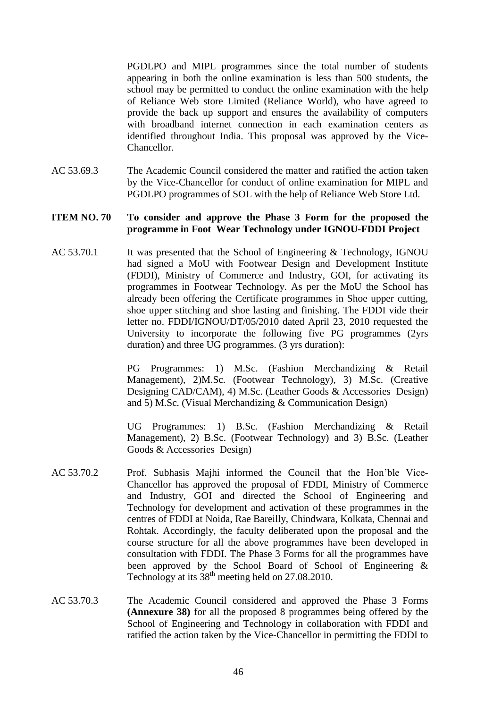PGDLPO and MIPL programmes since the total number of students appearing in both the online examination is less than 500 students, the school may be permitted to conduct the online examination with the help of Reliance Web store Limited (Reliance World), who have agreed to provide the back up support and ensures the availability of computers with broadband internet connection in each examination centers as identified throughout India. This proposal was approved by the Vice-Chancellor.

AC 53.69.3 The Academic Council considered the matter and ratified the action taken by the Vice-Chancellor for conduct of online examination for MIPL and PGDLPO programmes of SOL with the help of Reliance Web Store Ltd.

#### **ITEM NO. 70 To consider and approve the Phase 3 Form for the proposed the programme in Foot Wear Technology under IGNOU-FDDI Project**

AC 53.70.1 It was presented that the School of Engineering & Technology, IGNOU had signed a MoU with Footwear Design and Development Institute (FDDI), Ministry of Commerce and Industry, GOI, for activating its programmes in Footwear Technology. As per the MoU the School has already been offering the Certificate programmes in Shoe upper cutting, shoe upper stitching and shoe lasting and finishing. The FDDI vide their letter no. FDDI/IGNOU/DT/05/2010 dated April 23, 2010 requested the University to incorporate the following five PG programmes (2yrs duration) and three UG programmes. (3 yrs duration):

> PG Programmes: 1) M.Sc. (Fashion Merchandizing & Retail Management), 2)M.Sc. (Footwear Technology), 3) M.Sc. (Creative Designing CAD/CAM), 4) M.Sc. (Leather Goods & Accessories Design) and 5) M.Sc. (Visual Merchandizing & Communication Design)

> UG Programmes: 1) B.Sc. (Fashion Merchandizing & Retail Management), 2) B.Sc. (Footwear Technology) and 3) B.Sc. (Leather Goods & Accessories Design)

- AC 53.70.2 Prof. Subhasis Majhi informed the Council that the Hon'ble Vice-Chancellor has approved the proposal of FDDI, Ministry of Commerce and Industry, GOI and directed the School of Engineering and Technology for development and activation of these programmes in the centres of FDDI at Noida, Rae Bareilly, Chindwara, Kolkata, Chennai and Rohtak. Accordingly, the faculty deliberated upon the proposal and the course structure for all the above programmes have been developed in consultation with FDDI. The Phase 3 Forms for all the programmes have been approved by the School Board of School of Engineering & Technology at its  $38<sup>th</sup>$  meeting held on 27.08.2010.
- AC 53.70.3 The Academic Council considered and approved the Phase 3 Forms **(Annexure 38)** for all the proposed 8 programmes being offered by the School of Engineering and Technology in collaboration with FDDI and ratified the action taken by the Vice-Chancellor in permitting the FDDI to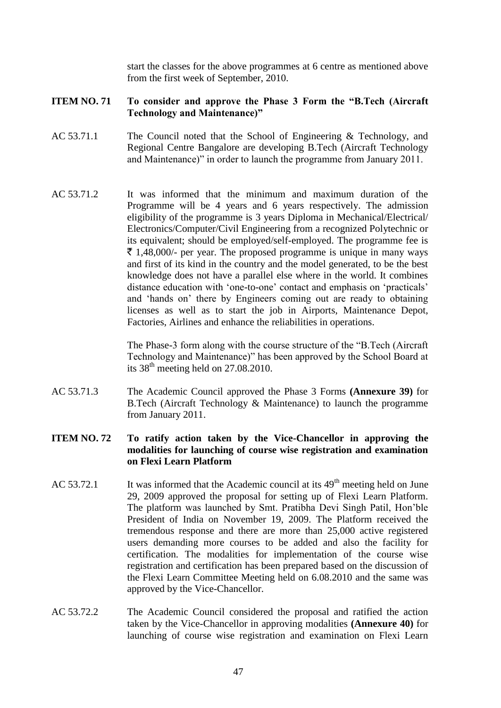start the classes for the above programmes at 6 centre as mentioned above from the first week of September, 2010.

# **ITEM NO. 71 To consider and approve the Phase 3 Form the "B.Tech (Aircraft Technology and Maintenance)"**

- AC 53.71.1 The Council noted that the School of Engineering & Technology, and Regional Centre Bangalore are developing B.Tech (Aircraft Technology and Maintenance)" in order to launch the programme from January 2011.
- AC 53.71.2 It was informed that the minimum and maximum duration of the Programme will be 4 years and 6 years respectively. The admission eligibility of the programme is 3 years Diploma in Mechanical/Electrical/ Electronics/Computer/Civil Engineering from a recognized Polytechnic or its equivalent; should be employed/self-employed. The programme fee is  $\bar{\tau}$  1,48,000/- per year. The proposed programme is unique in many ways and first of its kind in the country and the model generated, to be the best knowledge does not have a parallel else where in the world. It combines distance education with 'one-to-one' contact and emphasis on 'practicals' and 'hands on' there by Engineers coming out are ready to obtaining licenses as well as to start the job in Airports, Maintenance Depot, Factories, Airlines and enhance the reliabilities in operations.

The Phase-3 form along with the course structure of the "B.Tech (Aircraft Technology and Maintenance)" has been approved by the School Board at its  $38<sup>th</sup>$  meeting held on 27.08.2010.

AC 53.71.3 The Academic Council approved the Phase 3 Forms **(Annexure 39)** for B.Tech (Aircraft Technology & Maintenance) to launch the programme from January 2011.

# **ITEM NO. 72 To ratify action taken by the Vice-Chancellor in approving the modalities for launching of course wise registration and examination on Flexi Learn Platform**

- AC 53.72.1 It was informed that the Academic council at its  $49<sup>th</sup>$  meeting held on June 29, 2009 approved the proposal for setting up of Flexi Learn Platform. The platform was launched by Smt. Pratibha Devi Singh Patil, Hon'ble President of India on November 19, 2009. The Platform received the tremendous response and there are more than 25,000 active registered users demanding more courses to be added and also the facility for certification. The modalities for implementation of the course wise registration and certification has been prepared based on the discussion of the Flexi Learn Committee Meeting held on 6.08.2010 and the same was approved by the Vice-Chancellor.
- AC 53.72.2 The Academic Council considered the proposal and ratified the action taken by the Vice-Chancellor in approving modalities **(Annexure 40)** for launching of course wise registration and examination on Flexi Learn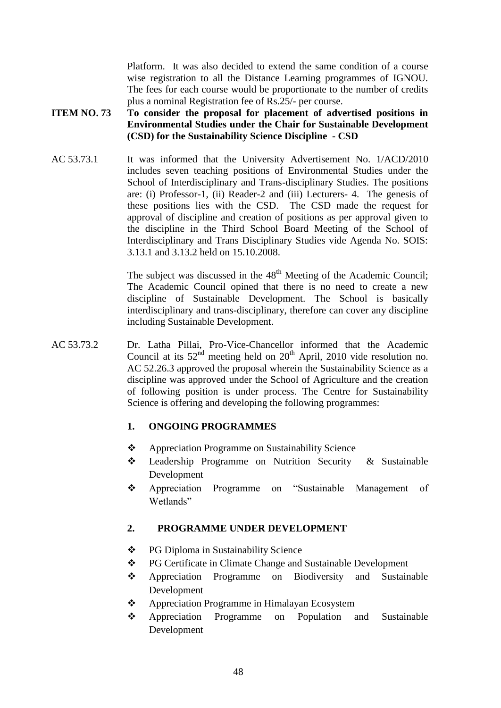Platform. It was also decided to extend the same condition of a course wise registration to all the Distance Learning programmes of IGNOU. The fees for each course would be proportionate to the number of credits plus a nominal Registration fee of Rs.25/- per course.

# **ITEM NO. 73 To consider the proposal for placement of advertised positions in Environmental Studies under the Chair for Sustainable Development (CSD) for the Sustainability Science Discipline - CSD**

AC 53.73.1 It was informed that the University Advertisement No. 1/ACD/2010 includes seven teaching positions of Environmental Studies under the School of Interdisciplinary and Trans-disciplinary Studies. The positions are: (i) Professor-1, (ii) Reader-2 and (iii) Lecturers- 4. The genesis of these positions lies with the CSD. The CSD made the request for approval of discipline and creation of positions as per approval given to the discipline in the Third School Board Meeting of the School of Interdisciplinary and Trans Disciplinary Studies vide Agenda No. SOIS: 3.13.1 and 3.13.2 held on 15.10.2008.

> The subject was discussed in the  $48<sup>th</sup>$  Meeting of the Academic Council; The Academic Council opined that there is no need to create a new discipline of Sustainable Development. The School is basically interdisciplinary and trans-disciplinary, therefore can cover any discipline including Sustainable Development.

AC 53.73.2 Dr. Latha Pillai, Pro-Vice-Chancellor informed that the Academic Council at its  $52<sup>nd</sup>$  meeting held on  $20<sup>th</sup>$  April, 2010 vide resolution no. AC 52.26.3 approved the proposal wherein the Sustainability Science as a discipline was approved under the School of Agriculture and the creation of following position is under process. The Centre for Sustainability Science is offering and developing the following programmes:

# **1. ONGOING PROGRAMMES**

- Appreciation Programme on Sustainability Science
- Leadership Programme on Nutrition Security & Sustainable Development
- Appreciation Programme on "Sustainable Management of Wetlands"

# **2. PROGRAMME UNDER DEVELOPMENT**

- PG Diploma in Sustainability Science
- \* PG Certificate in Climate Change and Sustainable Development
- Appreciation Programme on Biodiversity and Sustainable Development
- Appreciation Programme in Himalayan Ecosystem
- Appreciation Programme on Population and Sustainable Development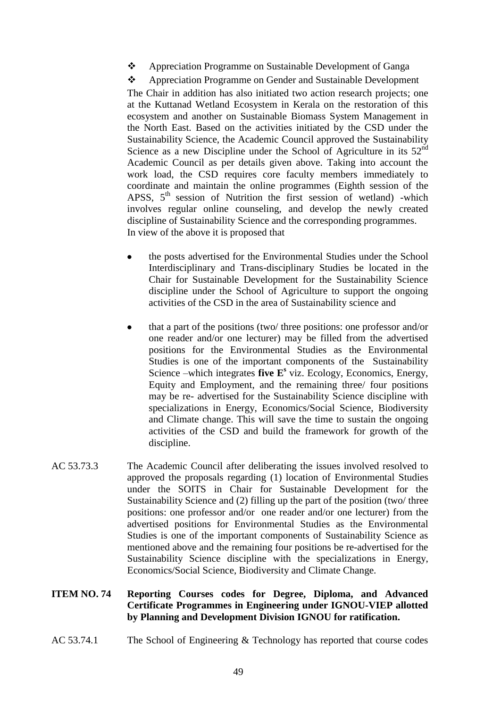\* Appreciation Programme on Sustainable Development of Ganga

Appreciation Programme on Gender and Sustainable Development

The Chair in addition has also initiated two action research projects; one at the Kuttanad Wetland Ecosystem in Kerala on the restoration of this ecosystem and another on Sustainable Biomass System Management in the North East. Based on the activities initiated by the CSD under the Sustainability Science, the Academic Council approved the Sustainability Science as a new Discipline under the School of Agriculture in its 52<sup>nd</sup> Academic Council as per details given above. Taking into account the work load, the CSD requires core faculty members immediately to coordinate and maintain the online programmes (Eighth session of the APSS,  $5<sup>th</sup>$  session of Nutrition the first session of wetland) -which involves regular online counseling, and develop the newly created discipline of Sustainability Science and the corresponding programmes. In view of the above it is proposed that

- the posts advertised for the Environmental Studies under the School Interdisciplinary and Trans-disciplinary Studies be located in the Chair for Sustainable Development for the Sustainability Science discipline under the School of Agriculture to support the ongoing activities of the CSD in the area of Sustainability science and
- that a part of the positions (two/ three positions: one professor and/or  $\bullet$ one reader and/or one lecturer) may be filled from the advertised positions for the Environmental Studies as the Environmental Studies is one of the important components of the Sustainability Science –which integrates **five E<sup>s</sup>** viz. Ecology, Economics, Energy, Equity and Employment, and the remaining three/ four positions may be re- advertised for the Sustainability Science discipline with specializations in Energy, Economics/Social Science, Biodiversity and Climate change. This will save the time to sustain the ongoing activities of the CSD and build the framework for growth of the discipline.
- AC 53.73.3 The Academic Council after deliberating the issues involved resolved to approved the proposals regarding (1) location of Environmental Studies under the SOITS in Chair for Sustainable Development for the Sustainability Science and (2) filling up the part of the position (two/ three positions: one professor and/or one reader and/or one lecturer) from the advertised positions for Environmental Studies as the Environmental Studies is one of the important components of Sustainability Science as mentioned above and the remaining four positions be re-advertised for the Sustainability Science discipline with the specializations in Energy, Economics/Social Science, Biodiversity and Climate Change.

# **ITEM NO. 74 Reporting Courses codes for Degree, Diploma, and Advanced Certificate Programmes in Engineering under IGNOU-VIEP allotted by Planning and Development Division IGNOU for ratification.**

AC 53.74.1 The School of Engineering & Technology has reported that course codes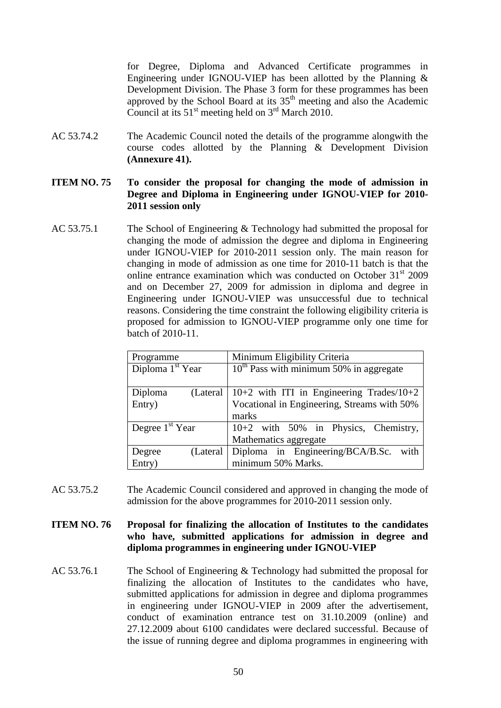for Degree, Diploma and Advanced Certificate programmes in Engineering under IGNOU-VIEP has been allotted by the Planning  $\&$ Development Division. The Phase 3 form for these programmes has been approved by the School Board at its  $35<sup>th</sup>$  meeting and also the Academic Council at its  $51<sup>st</sup>$  meeting held on  $3<sup>rd</sup>$  March 2010.

AC 53.74.2 The Academic Council noted the details of the programme alongwith the course codes allotted by the Planning & Development Division **(Annexure 41).**

#### **ITEM NO. 75 To consider the proposal for changing the mode of admission in Degree and Diploma in Engineering under IGNOU-VIEP for 2010- 2011 session only**

AC 53.75.1 The School of Engineering & Technology had submitted the proposal for changing the mode of admission the degree and diploma in Engineering under IGNOU-VIEP for 2010-2011 session only. The main reason for changing in mode of admission as one time for 2010-11 batch is that the online entrance examination which was conducted on October  $31<sup>st</sup>$  2009 and on December 27, 2009 for admission in diploma and degree in Engineering under IGNOU-VIEP was unsuccessful due to technical reasons. Considering the time constraint the following eligibility criteria is proposed for admission to IGNOU-VIEP programme only one time for batch of 2010-11.

| Programme                    | Minimum Eligibility Criteria                 |  |  |
|------------------------------|----------------------------------------------|--|--|
| Diploma 1 <sup>st</sup> Year | $10^{th}$ Pass with minimum 50% in aggregate |  |  |
| Diploma<br>(Lateral)         | 10+2 with ITI in Engineering Trades/10+2     |  |  |
| Entry)                       | Vocational in Engineering, Streams with 50%  |  |  |
|                              | marks                                        |  |  |
| Degree $1st$ Year            | 10+2 with 50% in Physics, Chemistry,         |  |  |
|                              | Mathematics aggregate                        |  |  |
| (Lateral)<br>Degree          | Diploma in Engineering/BCA/B.Sc.<br>with     |  |  |
| Entry)                       | minimum 50% Marks.                           |  |  |

AC 53.75.2 The Academic Council considered and approved in changing the mode of admission for the above programmes for 2010-2011 session only.

**ITEM NO. 76 Proposal for finalizing the allocation of Institutes to the candidates who have, submitted applications for admission in degree and diploma programmes in engineering under IGNOU-VIEP**

AC 53.76.1 The School of Engineering & Technology had submitted the proposal for finalizing the allocation of Institutes to the candidates who have, submitted applications for admission in degree and diploma programmes in engineering under IGNOU-VIEP in 2009 after the advertisement, conduct of examination entrance test on 31.10.2009 (online) and 27.12.2009 about 6100 candidates were declared successful. Because of the issue of running degree and diploma programmes in engineering with